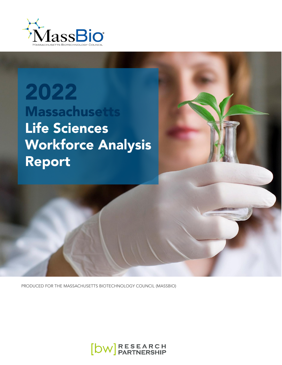

2022 **Massachusetts Life Sciences Workforce Analysis** Report



PRODUCED FOR THE MASSACHUSETTS BIOTECHNOLOGY COUNCIL (MASSBIO)

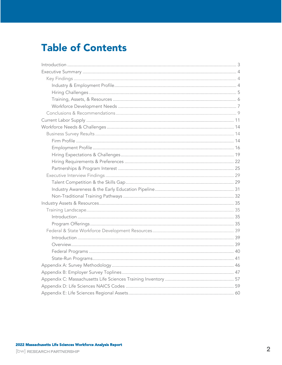## **Table of Contents**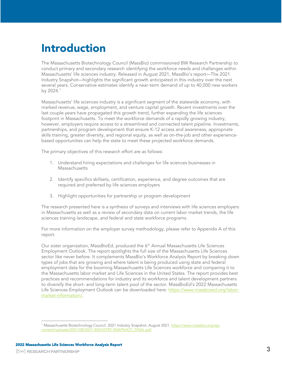# <span id="page-2-0"></span>Introduction

The Massachusetts Biotechnology Council (MassBio) commissioned BW Research Partnership to conduct primary and secondary research identifying the workforce needs and challenges within Massachusetts' life sciences industry. Released in August 2021, MassBio's report—The 2021 Industry Snapshot—highlights the significant growth anticipated in this industry over the next several years. Conservative estimates identify a near-term demand of up to 40,000 new workers by 2024.<sup>1</sup>

Massachusetts' life sciences industry is a significant segment of the statewide economy, with marked revenue, wage, employment, and venture capital growth. Recent investments over the last couple years have propagated this growth trend, further expanding the life sciences footprint in Massachusetts. To meet the workforce demands of a rapidly growing industry, however, employers require access to a streamlined and connected talent pipeline. Investments, partnerships, and program development that ensure K-12 access and awareness, appropriate skills training, greater diversity, and regional equity, as well as on-the-job and other experiencebased opportunities can help the state to meet these projected workforce demands.

The primary objectives of this research effort are as follows:

- 1. Understand hiring expectations and challenges for life sciences businesses in Massachusetts
- 2. Identify specifics skillsets, certification, experience, and degree outcomes that are required and preferred by life sciences employers
- 3. Highlight opportunities for partnership or program development

The research presented here is a synthesis of surveys and interviews with life sciences employers in Massachusetts as well as a review of secondary data on current labor market trends, the life sciences training landscape, and federal and state workforce programs.

For more information on the employer survey methodology, please refer to Appendix A of this report.

Our sister organization, MassBioEd, produced the 6<sup>th</sup> Annual Massachusetts Life Sciences Employment Outlook. The report spotlights the full size of the Massachusetts Life Sciences sector like never before. It complements MassBio's Workforce Analysis Report by breaking down types of jobs that are growing and where talent is being produced using state and federal employment data for the booming Massachusetts Life Sciences workforce and comparing it to the Massachusetts labor market and Life Sciences in the United States. The report provides best practices and recommendations for industry and its workforce and talent development partners to diversify the short- and long-term talent pool of the sector. MassBioEd's 2022 Massachusetts Life Sciences Employment Outlook can be downloaded here: [https://www.massbioed.org/labor](https://www.massbioed.org/labor-market-information/)[market-information/.](https://www.massbioed.org/labor-market-information/)

<sup>&</sup>lt;sup>1</sup> Massachusetts Biotechnology Council. 2021 Industry Snapshot. August 2021. <u>https://www.massbio.org/wp-</u> [content/uploads/2021/08/2021-INDUSTRY-SNAPSHOT\\_FINAL.pdf.](https://www.massbio.org/wp-content/uploads/2021/08/2021-INDUSTRY-SNAPSHOT_FINAL.pdf)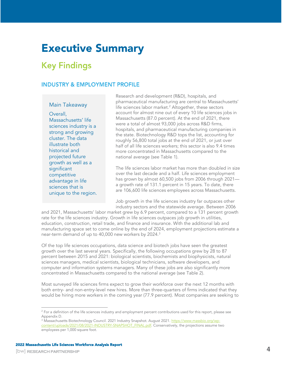## <span id="page-3-0"></span>Executive Summary

## <span id="page-3-1"></span>**Key Findings**

## <span id="page-3-2"></span>**INDUSTRY & EMPLOYMENT PROFILE**

### Main Takeaway

Overall, Massachusetts' life sciences industry is a strong and growing cluster. The data illustrate both historical and projected future growth as well as a significant competitive advantage in life sciences that is unique to the region. Research and development (R&D), hospitals, and pharmaceutical manufacturing are central to Massachusetts' life sciences labor market.<sup>2</sup> Altogether, these sectors account for almost nine out of every 10 life sciences jobs in Massachusetts (87.0 percent). At the end of 2021, there were a total of almost 93,000 jobs across R&D firms, hospitals, and pharmaceutical manufacturing companies in the state. Biotechnology R&D tops the list, accounting for roughly 56,800 total jobs at the end of 2021, or just over half of all life sciences workers; this sector is also 9.4 times more concentrated in Massachusetts compared to the national average (see [Table 1\)](#page-11-0).

The life sciences labor market has more than doubled in size over the last decade and a half. Life sciences employment has grown by almost 60,500 jobs from 2006 through 2021 a growth rate of 131.1 percent in 15 years. To date, there are 106,600 life sciences employees across Massachusetts.

Job growth in the life sciences industry far outpaces other industry sectors and the statewide average. Between 2006

and 2021, Massachusetts' labor market grew by 6.9 percent, compared to a 131 percent growth rate for the life sciences industry. Growth in life sciences outpaces job growth in utilities, education, construction, retail trade, and finance and insurance. With the additional lab and manufacturing space set to come online by the end of 2024, employment projections estimate a near-term demand of up to 40,000 new workers by 2024. $^3$ 

Of the top life sciences occupations, data science and biotech jobs have seen the greatest growth over the last several years. Specifically, the following occupations grew by 28 to 87 percent between 2015 and 2021: biological scientists, biochemists and biophysicists, natural sciences managers, medical scientists, biological technicians, software developers, and computer and information systems managers. Many of these jobs are also significantly more concentrated in Massachusetts compared to the national average (see [Table 2\)](#page-12-0).

Most surveyed life sciences firms expect to grow their workforce over the next 12 months with both entry- and non-entry-level new hires. More than three-quarters of firms indicated that they would be hiring more workers in the coming year (77.9 percent). Most companies are seeking to

 $2$  For a definition of the life sciences industry and employment percent contributions used for this report, please see Appendix D.

<sup>&</sup>lt;sup>3</sup> Massachusetts Biotechnology Council. 2021 Industry Snapshot. August 2021. <u>https://www.massbio.org/wp-</u> [content/uploads/2021/08/2021-INDUSTRY-SNAPSHOT\\_FINAL.pdf.](https://www.massbio.org/wp-content/uploads/2021/08/2021-INDUSTRY-SNAPSHOT_FINAL.pdf) Conservatively, the projections assume two employees per 1,000 square foot.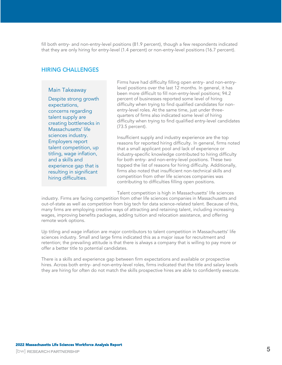fill both entry- and non-entry-level positions (81.9 percent), though a few respondents indicated that they are only hiring for entry-level (1.4 percent) or non-entry-level positions (16.7 percent).

## <span id="page-4-0"></span>**HIRING CHALLENGES**

#### Main Takeaway

Despite strong growth expectations, concerns regarding talent supply are creating bottlenecks in Massachusetts' life sciences industry. Employers report talent competition, up titling, wage inflation, and a skills and experience gap that is resulting in significant hiring difficulties.

Firms have had difficulty filling open entry- and non-entrylevel positions over the last 12 months. In general, it has been more difficult to fill non-entry-level positions; 94.2 percent of businesses reported some level of hiring difficulty when trying to find qualified candidates for nonentry-level roles. At the same time, just under threequarters of firms also indicated some level of hiring difficulty when trying to find qualified entry-level candidates (73.5 percent).

Insufficient supply and industry experience are the top reasons for reported hiring difficulty. In general, firms noted that a small applicant pool and lack of experience or industry-specific knowledge contributed to hiring difficulty for both entry- and non-entry-level positions. These two topped the list of reasons for hiring difficulty. Additionally, firms also noted that insufficient non-technical skills and competition from other life sciences companies was contributing to difficulties filling open positions.

Talent competition is high in Massachusetts' life sciences

industry. Firms are facing competition from other life sciences companies in Massachusetts and out-of-state as well as competition from big tech for data science-related talent. Because of this, many firms are employing creative ways of attracting and retaining talent, including increasing wages, improving benefits packages, adding tuition and relocation assistance, and offering remote work options.

Up titling and wage inflation are major contributors to talent competition in Massachusetts' life sciences industry. Small and large firms indicated this as a major issue for recruitment and retention; the prevailing attitude is that there is always a company that is willing to pay more or offer a better title to potential candidates.

There is a skills and experience gap between firm expectations and available or prospective hires. Across both entry- and non-entry-level roles, firms indicated that the title and salary levels they are hiring for often do not match the skills prospective hires are able to confidently execute.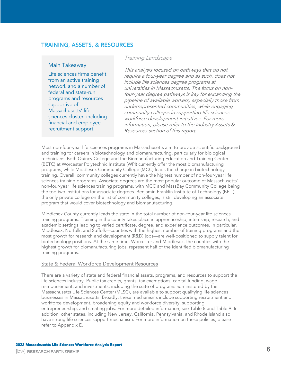## <span id="page-5-0"></span>**TRAINING, ASSETS, & RESOURCES**

### Main Takeaway

Life sciences firms benefit from an active training network and a number of federal and state-run programs and resources supportive of Massachusetts' life sciences cluster, including financial and employee recruitment support.

### Training Landscape

This analysis focused on pathways that do not require a four-year degree and as such, does not include life sciences degree programs at universities in Massachusetts. The focus on nonfour-year degree pathways is key for expanding the pipeline of available workers, especially those from underrepresented communities, while engaging community colleges in supporting life sciences workforce development initiatives. For more information, please refer to the Industry Assets & Resources section of this report.

Most non-four-year life sciences programs in Massachusetts aim to provide scientific background and training for careers in biotechnology and biomanufacturing, particularly for biological technicians. Both Quincy College and the Biomanufacturing Education and Training Center (BETC) at Worcester Polytechnic Institute (WPI) currently offer the most biomanufacturing programs, while Middlesex Community College (MCC) leads the charge in biotechnology training. Overall, community colleges currently have the highest number of non-four-year life sciences training programs. Associate degrees are the most popular outcome of Massachusetts' non-four-year life sciences training programs, with MCC and MassBay Community College being the top two institutions for associate degrees. Benjamin Franklin Institute of Technology (BFIT), the only private college on the list of community colleges, is still developing an associate program that would cover biotechnology and biomanufacturing.

Middlesex County currently leads the state in the total number of non-four-year life sciences training programs. Training in the county takes place in apprenticeship, internship, research, and academic settings leading to varied certificate, degree, and experience outcomes. In particular, Middlesex, Norfolk, and Suffolk—counties with the highest number of training programs and the most growth for research and development (R&D) jobs—are well-positioned to supply talent for biotechnology positions. At the same time, Worcester and Middlesex, the counties with the highest growth for biomanufacturing jobs, represent half of the identified biomanufacturing training programs.

### State & Federal Workforce Development Resources

There are a variety of state and federal financial assets, programs, and resources to support the life sciences industry. Public tax credits, grants, tax exemptions, capital funding, wage reimbursement, and investments, including the suite of programs administered by the Massachusetts Life Sciences Center (MLSC), are available to support qualifying life sciences businesses in Massachusetts. Broadly, these mechanisms include supporting recruitment and workforce development, broadening equity and workforce diversity, supporting entrepreneurship, and creating jobs. For more detailed information, see [Table 8](#page-40-1) and [Table 9.](#page-42-0) In addition, other states, including New Jersey, California, Pennsylvania, and Rhode Island also have strong life sciences support mechanism. For more information on these policies, please refer to Appendix E.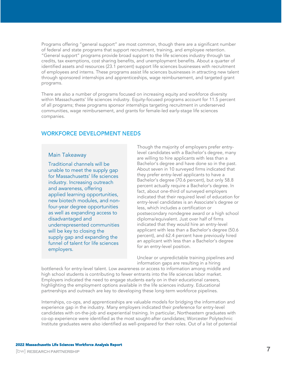Programs offering "general support" are most common, though there are a significant number of federal and state programs that support recruitment, training, and employee retention. "General support" programs provide broad support to the life sciences industry through tax credits, tax exemptions, cost sharing benefits, and unemployment benefits. About a quarter of identified assets and resources (23.1 percent) support life sciences businesses with recruitment of employees and interns. These programs assist life sciences businesses in attracting new talent through sponsored internships and apprenticeships, wage reimbursement, and targeted grant programs.

There are also a number of programs focused on increasing equity and workforce diversity within Massachusetts' life sciences industry. Equity-focused programs account for 11.5 percent of all programs; these programs sponsor internships targeting recruitment in underserved communities, wage reimbursement, and grants for female-led early-stage life sciences companies.

## <span id="page-6-0"></span>**WORKFORCE DEVELOPMENT NEEDS**

### Main Takeaway

Traditional channels will be unable to meet the supply gap for Massachusetts' life sciences industry. Increasing outreach and awareness, offering applied learning opportunities, new biotech modules, and nonfour-year degree opportunities as well as expanding access to disadvantaged and underrepresented communities will be key to closing the supply gap and expanding the funnel of talent for life sciences employers.

Though the majority of employers prefer entrylevel candidates with a Bachelor's degree, many are willing to hire applicants with less than a Bachelor's degree and have done so in the past. About seven in 10 surveyed firms indicated that they prefer entry-level applicants to have a Bachelor's degree (70.6 percent), but only 58.8 percent actually require a Bachelor's degree. In fact, about one-third of surveyed employers indicated that their required level of education for entry-level candidates is an Associate's degree or less, which includes a certification or postsecondary nondegree award or a high school diploma/equivalent. Just over half of firms indicated that they would hire an entry-level applicant with less than a Bachelor's degree (50.6 percent), and 62.4 percent have previously hired an applicant with less than a Bachelor's degree for an entry-level position.

Unclear or unpredictable training pipelines and information gaps are resulting in a hiring

bottleneck for entry-level talent. Low awareness or access to information among middle and high school students is contributing to fewer entrants into the life sciences labor market. Employers indicated the need to engage students early on in their educational careers, highlighting the employment options available in the life sciences industry. Educational partnerships and outreach are key to developing these long-term workforce pipelines.

Internships, co-ops, and apprenticeships are valuable models for bridging the information and experience gap in the industry. Many employers indicated their preference for entry-level candidates with on-the-job and experiential training. In particular, Northeastern graduates with co-op experience were identified as the most sought-after candidates; Worcester Polytechnic Institute graduates were also identified as well-prepared for their roles. Out of a list of potential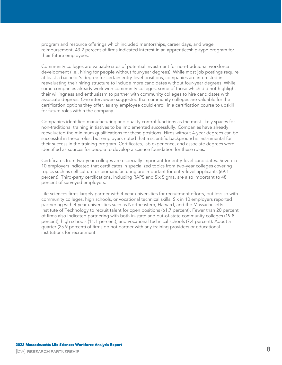program and resource offerings which included mentorships, career days, and wage reimbursement, 43.2 percent of firms indicated interest in an apprenticeship-type program for their future employees.

Community colleges are valuable sites of potential investment for non-traditional workforce development (i.e., hiring for people without four-year degrees). While most job postings require at least a bachelor's degree for certain entry-level positions, companies are interested in reevaluating their hiring structure to include more candidates without four-year degrees. While some companies already work with community colleges, some of those which did not highlight their willingness and enthusiasm to partner with community colleges to hire candidates with associate degrees. One interviewee suggested that community colleges are valuable for the certification options they offer, as any employee could enroll in a certification course to upskill for future roles within the company.

Companies identified manufacturing and quality control functions as the most likely spaces for non-traditional training initiatives to be implemented successfully. Companies have already reevaluated the minimum qualifications for these positions. Hires without 4-year degrees can be successful in these roles, but employers noted that a scientific background is instrumental for their success in the training program. Certificates, lab experience, and associate degrees were identified as sources for people to develop a science foundation for these roles.

Certificates from two-year colleges are especially important for entry-level candidates. Seven in 10 employers indicated that certificates in specialized topics from two-year colleges covering topics such as cell culture or biomanufacturing are important for entry-level applicants (69.1 percent). Third-party certifications, including RAPS and Six Sigma, are also important to 48 percent of surveyed employers.

Life sciences firms largely partner with 4-year universities for recruitment efforts, but less so with community colleges, high schools, or vocational technical skills. Six in 10 employers reported partnering with 4-year universities such as Northeastern, Harvard, and the Massachusetts Institute of Technology to recruit talent for open positions (61.7 percent). Fewer than 20 percent of firms also indicated partnering with both in-state and out-of-state community colleges (19.8 percent), high schools (11.1 percent), and vocational technical schools (7.4 percent). About a quarter (25.9 percent) of firms do not partner with any training providers or educational institutions for recruitment.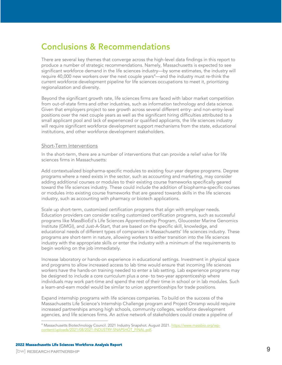## <span id="page-8-0"></span>**Conclusions & Recommendations**

There are several key themes that converge across the high-level data findings in this report to produce a number of strategic recommendations. Namely, Massachusetts is expected to see significant workforce demand in the life sciences industry—by some estimates, the industry will require 40,000 new workers over the next couple years<sup>4</sup>—and the industry must re-think the current workforce development pipeline for life sciences occupations to meet it, prioritizing regionalization and diversity.

Beyond the significant growth rate, life sciences firms are faced with labor market competition from out-of-state firms and other industries, such as information technology and data science. Given that employers project to see growth across several different entry- and non-entry-level positions over the next couple years as well as the significant hiring difficulties attributed to a small applicant pool and lack of experienced or qualified applicants, the life sciences industry will require significant workforce development support mechanisms from the state, educational institutions, and other workforce development stakeholders.

### Short-Term Interventions

In the short-term, there are a number of interventions that can provide a relief valve for life sciences firms in Massachusetts:

Add contextualized biopharma-specific modules to existing four-year degree programs. Degree programs where a need exists in the sector, such as accounting and marketing, may consider adding additional courses or modules to their existing course frameworks specifically geared toward the life sciences industry. These could include the addition of biopharma-specific courses or modules into existing course frameworks that are geared towards skills in the life sciences industry, such as accounting with pharmacy or biotech applications.

Scale up short-term, customized certification programs that align with employer needs. Education providers can consider scaling customized certification programs, such as successful programs like MassBioEd's Life Sciences Apprenticeship Program, Gloucester Marine Genomics Institute (GMGI), and Just-A-Start, that are based on the specific skill, knowledge, and educational needs of different types of companies in Massachusetts' life sciences industry. These programs are short-term in nature, allowing workers to either transition into the life sciences industry with the appropriate skills or enter the industry with a minimum of the requirements to begin working on the job immediately.

Increase laboratory or hands-on experience in educational settings. Investment in physical space and programs to allow increased access to lab time would ensure that incoming life sciences workers have the hands-on training needed to enter a lab setting. Lab experience programs may be designed to include a core curriculum plus a one- to two-year apprenticeship where individuals may work part-time and spend the rest of their time in school or in lab modules. Such a learn-and-earn model would be similar to union apprenticeships for trade positions.

Expand internship programs with life sciences companies. To build on the success of the Massachusetts Life Science's Internship Challenge program and Project Onramp would require increased partnerships among high schools, community colleges, workforce development agencies, and life sciences firms. An active network of stakeholders could create a pipeline of

<sup>&</sup>lt;sup>4</sup> Massachusetts Biotechnology Council. 2021 Industry Snapshot. August 2021. <u>https://www.massbio.org/wp-</u> [content/uploads/2021/08/2021-INDUSTRY-SNAPSHOT\\_FINAL.pdf.](https://www.massbio.org/wp-content/uploads/2021/08/2021-INDUSTRY-SNAPSHOT_FINAL.pdf)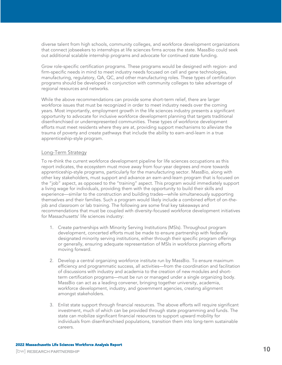diverse talent from high schools, community colleges, and workforce development organizations that connect jobseekers to internships at life sciences firms across the state. MassBio could seek out additional scalable internship programs and advocate for continued state funding.

Grow role-specific certification programs. These programs would be designed with region- and firm-specific needs in mind to meet industry needs focused on cell and gene technologies, manufacturing, regulatory, QA, QC, and other manufacturing roles. These types of certification programs should be developed in conjunction with community colleges to take advantage of regional resources and networks.

While the above recommendations can provide some short-term relief, there are larger workforce issues that must be recognized in order to meet industry needs over the coming years. Most importantly, employment growth in the life sciences industry presents a significant opportunity to advocate for inclusive workforce development planning that targets traditional disenfranchised or underrepresented communities. These types of workforce development efforts must meet residents where they are at, providing support mechanisms to alleviate the trauma of poverty and create pathways that include the ability to earn-and-learn in a true apprenticeship-style program.

### Long-Term Strategy

To re-think the current workforce development pipeline for life sciences occupations as this report indicates, the ecosystem must move away from four-year degrees and more towards apprenticeship-style programs, particularly for the manufacturing sector. MassBio, along with other key stakeholders, must support and advance an earn-and-learn program that is focused on the "job" aspect, as opposed to the "training" aspect. This program would immediately support a living wage for individuals, providing them with the opportunity to build their skills and experience—similar to the construction and building trades—while simultaneously supporting themselves and their families. Such a program would likely include a combined effort of on-thejob and classroom or lab training. The following are some final key takeaways and recommendations that must be coupled with diversity-focused workforce development initiatives for Massachusetts' life sciences industry:

- 1. Create partnerships with Minority Serving Institutions (MSIs). Throughout program development, concerted efforts must be made to ensure partnership with federally designated minority serving institutions, either through their specific program offerings or generally, ensuring adequate representation of MSIs in workforce planning efforts moving forward.
- 2. Develop a central organizing workforce institute run by MassBio. To ensure maximum efficiency and programmatic success, all activities—from the coordination and facilitation of discussions with industry and academia to the creation of new modules and shortterm certification programs—must be run or managed under a single organizing body. MassBio can act as a leading convener, bringing together university, academia, workforce development, industry, and government agencies, creating alignment amongst stakeholders.
- 3. Enlist state support through financial resources. The above efforts will require significant investment, much of which can be provided through state programming and funds. The state can mobilize significant financial resources to support upward mobility for individuals from disenfranchised populations, transition them into long-term sustainable careers.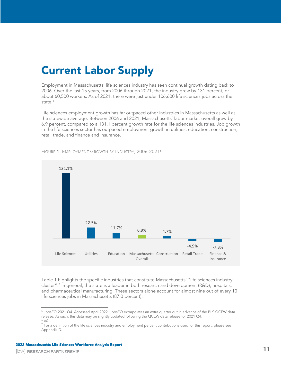# <span id="page-10-0"></span>Current Labor Supply

Employment in Massachusetts' life sciences industry has seen continual growth dating back to 2006. Over the last 15 years, from 2006 through 2021, the industry grew by 131 percent, or about 60,500 workers. As of 2021, there were just under 106,600 life sciences jobs across the state.<sup>5</sup>

Life sciences employment growth has far outpaced other industries in Massachusetts as well as the statewide average. Between 2006 and 2021, Massachusetts' labor market overall grew by 6.9 percent, compared to a 131.1 percent growth rate for the life sciences industries. Job growth in the life sciences sector has outpaced employment growth in utilities, education, construction, retail trade, and finance and insurance.



FIGURE 1. EMPLOYMENT GROWTH BY INDUSTRY, 2006-2021<sup>6</sup>

[Table 1](#page-11-0) highlights the specific industries that constitute Massachusetts' "life sciences industry cluster".<sup>7</sup> In general, the state is a leader in both research and development (R&D), hospitals, and pharmaceutical manufacturing. These sectors alone account for almost nine out of every 10 life sciences jobs in Massachusetts (87.0 percent).

<sup>5</sup> JobsEQ 2021 Q4. Accessed April 2022. JobsEQ extrapolates an extra quarter out in advance of the BLS QCEW data release. As such, this data may be slightly updated following the QCEW data release for 2021 Q4. <sup>6</sup> Id.

<sup>&</sup>lt;sup>7</sup> For a definition of the life sciences industry and employment percent contributions used for this report, please see Appendix D.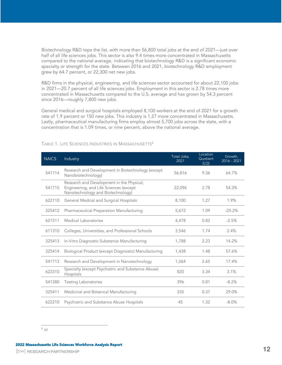Biotechnology R&D tops the list, with more than 56,800 total jobs at the end of 2021—just over half of all life sciences jobs. This sector is also 9.4 times more concentrated in Massachusetts compared to the national average, indicating that biotechnology R&D is a significant economic specialty or strength for the state. Between 2016 and 2021, biotechnology R&D employment grew by 64.7 percent, or 22,300 net new jobs.

R&D firms in the physical, engineering, and life sciences sector accounted for about 22,100 jobs in 2021—20.7 percent of all life sciences jobs. Employment in this sector is 2.78 times more concentrated in Massachusetts compared to the U.S. average and has grown by 54.3 percent since 2016—roughly 7,800 new jobs.

General medical and surgical hospitals employed 8,100 workers at the end of 2021 for a growth rate of 1.9 percent or 150 new jobs. This industry is 1.27 more concentrated in Massachusetts. Lastly, pharmaceutical manufacturing firms employ almost 5,700 jobs across the state, with a concentration that is 1.09 times, or nine percent, above the national average.

| <b>NAICS</b> | <b>Industry</b>                                                                                                          | Total Jobs,<br>2021 | Location<br>Quotient<br>(LQ) | Growth,<br>2016 - 2021 |
|--------------|--------------------------------------------------------------------------------------------------------------------------|---------------------|------------------------------|------------------------|
| 541714       | Research and Development in Biotechnology (except<br>Nanobiotechnology)                                                  | 56,816              | 9.36                         | 64.7%                  |
| 541715       | Research and Development in the Physical,<br>Engineering, and Life Sciences (except<br>Nanotechnology and Biotechnology) | 22,096              | 2.78                         | 54.3%                  |
| 622110       | General Medical and Surgical Hospitals                                                                                   | 8,100               | 1.27                         | 1.9%                   |
| 325412       | Pharmaceutical Preparation Manufacturing                                                                                 | 5,672               | 1.09                         | $-25.2%$               |
| 621511       | Medical Laboratories                                                                                                     | 4,478               | 0.82                         | $-2.5%$                |
| 611310       | Colleges, Universities, and Professional Schools                                                                         | 3,546               | 1.74                         | 2.4%                   |
| 325413       | In-Vitro Diagnostic Substance Manufacturing                                                                              | 1,788               | 2.23                         | 14.2%                  |
| 325414       | Biological Product (except Diagnostic) Manufacturing                                                                     | 1,438               | 1.48                         | 57.6%                  |
| 541713       | Research and Development in Nanotechnology                                                                               | 1,064               | 2.65                         | 17.4%                  |
| 622310       | Specialty (except Psychiatric and Substance Abuse)<br>Hospitals                                                          | 820                 | 3.34                         | 3.1%                   |
| 541380       | <b>Testing Laboratories</b>                                                                                              | 396                 | 0.81                         | $-8.2%$                |
| 325411       | Medicinal and Botanical Manufacturing                                                                                    | 335                 | 0.37                         | 29.0%                  |
| 622210       | Psychiatric and Substance Abuse Hospitals                                                                                | 45                  | 1.32                         | $-8.0\%$               |

### <span id="page-11-0"></span>TABLE 1. LIFE SCIENCES INDUSTRIES IN MASSACHUSETTS<sup>8</sup>

#### $8$  /d.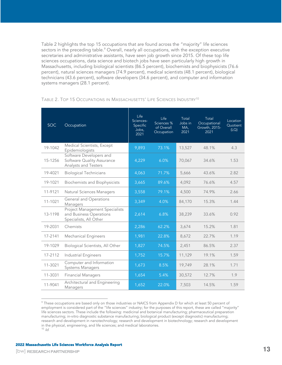[Table 2](#page-12-0) highlights the top 15 occupations that are found across the "majority" life sciences sectors in the preceding table.<sup>9</sup> Overall, nearly all occupations, with the exception executive secretaries and administrative assistants, have seen job growth since 2015. Of these top life sciences occupations, data science and biotech jobs have seen particularly high growth in Massachusetts, including biological scientists (86.5 percent), biochemists and biophysicists (76.6 percent), natural sciences managers (74.9 percent), medical scientists (48.1 percent), biological technicians (43.6 percent), software developers (34.6 percent), and computer and information systems managers (28.1 percent).

| <b>SOC</b> | Occupation                                                                                 | Life<br>Sciences-<br>Specific<br>Jobs,<br>2021 | Life<br>Sciences %<br>of Overall<br>Occupation | Total<br>Jobs in<br>MA,<br>2021 | Total<br>Occupational<br>Growth, 2015-<br>2021 | Location<br>Quotient<br>(LQ) |
|------------|--------------------------------------------------------------------------------------------|------------------------------------------------|------------------------------------------------|---------------------------------|------------------------------------------------|------------------------------|
| 19-1042    | Medical Scientists, Except<br>Epidemiologists                                              | 9,893                                          | 73.1%                                          | 13,527                          | 48.1%                                          | 4.3                          |
| 15-1256    | Software Developers and<br>Software Quality Assurance<br>Analysts and Testers              | 4,229                                          | 6.0%                                           | 70,067                          | 34.6%                                          | 1.53                         |
| 19-4021    | <b>Biological Technicians</b>                                                              | 4,063                                          | 71.7%                                          | 5,666                           | 43.6%                                          | 2.82                         |
| 19-1021    | <b>Biochemists and Biophysicists</b>                                                       | 3,665                                          | 89.6%                                          | 4,092                           | 76.6%                                          | 4.57                         |
| 11-9121    | Natural Sciences Managers                                                                  | 3,558                                          | 79.1%                                          | 4,500                           | 74.9%                                          | 2.66                         |
| 11-1021    | <b>General and Operations</b><br>Managers                                                  | 3,349                                          | 4.0%                                           | 84,170                          | 15.3%                                          | 1.44                         |
| 13-1198    | <b>Project Management Specialists</b><br>and Business Operations<br>Specialists, All Other | 2,614                                          | 6.8%                                           | 38,239                          | 33.6%                                          | 0.92                         |
| 19-2031    | Chemists                                                                                   | 2,286                                          | 62.2%                                          | 3,674                           | 15.2%                                          | 1.81                         |
| 17-2141    | <b>Mechanical Engineers</b>                                                                | 1,981                                          | 22.8%                                          | 8,672                           | 22.7%                                          | 1.19                         |
| 19-1029    | Biological Scientists, All Other                                                           | 1,827                                          | 74.5%                                          | 2,451                           | 86.5%                                          | 2.37                         |
| 17-2112    | <b>Industrial Engineers</b>                                                                | 1,752                                          | 15.7%                                          | 11,129                          | 19.1%                                          | 1.59                         |
| 11-3021    | Computer and Information<br><b>Systems Managers</b>                                        | 1,673                                          | 8.5%                                           | 19,749                          | 28.1%                                          | 1.71                         |
| 11-3031    | <b>Financial Managers</b>                                                                  | 1,654                                          | 5.4%                                           | 30,572                          | 12.7%                                          | 1.9                          |
| 11-9041    | Architectural and Engineering<br>Managers                                                  | 1,652                                          | 22.0%                                          | 7,503                           | 14.5%                                          | 1.59                         |

#### <span id="page-12-0"></span>TABLE 2. TOP 15 OCCUPATIONS IN MASSACHUSETTS' LIFE SCIENCES INDUSTRY<sup>10</sup>

<sup>9</sup> These occupations are based only on those industries or NAICS from Appendix D for which at least 50 percent of employment is considered part of the "life sciences" industry; for the purposes of this report, these are called "majority" life sciences sectors. These include the following: medicinal and botanical manufacturing; pharmaceutical preparation manufacturing; in-vitro diagnostic substance manufacturing; biological product (except diagnostic) manufacturing; research and development in nanotechnology; research and development in biotechnology; research and development in the physical, engineering, and life sciences; and medical laboratories.  $10$  Id.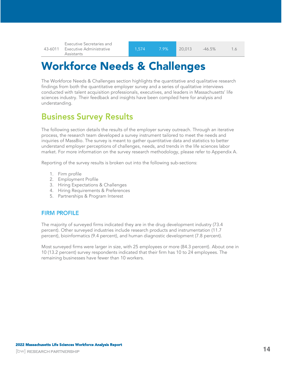43-6011 Executive Administrative Executive Secretaries and Assistants

# <span id="page-13-0"></span>Workforce Needs & Challenges

The Workforce Needs & Challenges section highlights the quantitative and qualitative research findings from both the quantitative employer survey and a series of qualitative interviews conducted with talent acquisition professionals, executives, and leaders in Massachusetts' life sciences industry. Their feedback and insights have been compiled here for analysis and understanding.

## <span id="page-13-1"></span>**Business Survey Results**

The following section details the results of the employer survey outreach. Through an iterative process, the research team developed a survey instrument tailored to meet the needs and inquiries of MassBio. The survey is meant to gather quantitative data and statistics to better understand employer perceptions of challenges, needs, and trends in the life sciences labor market. For more information on the survey research methodology, please refer to Appendix A.

Reporting of the survey results is broken out into the following sub-sections:

- 1. Firm profile
- 2. Employment Profile
- 3. Hiring Expectations & Challenges
- 4. Hiring Requirements & Preferences
- 5. Partnerships & Program Interest

## <span id="page-13-2"></span>**FIRM PROFILE**

The majority of surveyed firms indicated they are in the drug development industry (73.4 percent). Other surveyed industries include research products and instrumentation (11.7 percent), bioinformatics (9.4 percent), and human diagnostic development (7.8 percent).

Most surveyed firms were larger in size, with 25 employees or more (84.3 percent). About one in 10 (13.2 percent) survey respondents indicated that their firm has 10 to 24 employees. The remaining businesses have fewer than 10 workers.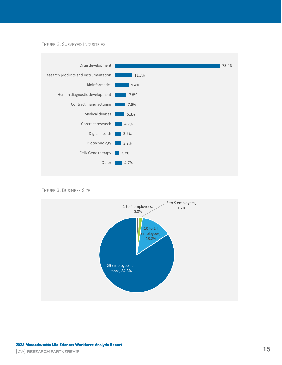FIGURE 2. SURVEYED INDUSTRIES



FIGURE 3. BUSINESS SIZE

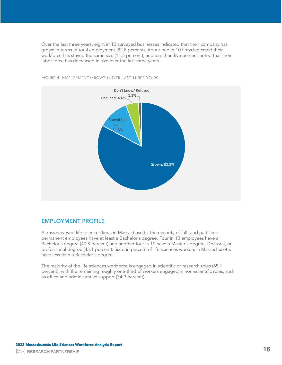Over the last three years, eight in 10 surveyed businesses indicated that their company has grown in terms of total employment (82.8 percent). About one in 10 firms indicated their workforce has stayed the same size (11.5 percent), and less than five percent noted that their labor force has decreased in size over the last three years.



FIGURE 4. EMPLOYMENT GROWTH OVER LAST THREE YEARS

## <span id="page-15-0"></span>**EMPLOYMENT PROFILE**

Across surveyed life sciences firms in Massachusetts, the majority of full- and part-time permanent employees have at least a Bachelor's degree. Four in 10 employees have a Bachelor's degree (40.8 percent) and another four in 10 have a Master's degree, Doctoral, or professional degree (43.1 percent). Sixteen percent of life sciences workers in Massachusetts have less than a Bachelor's degree.

The majority of the life sciences workforce is engaged in scientific or research roles (65.1 percent), with the remaining roughly one-third of workers engaged in non-scientific roles, such as office and administrative support (34.9 percent).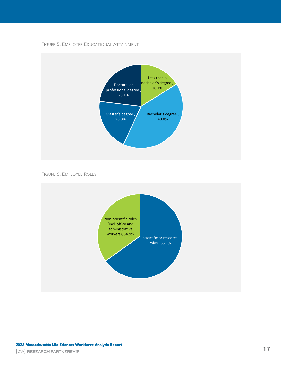



FIGURE 6. EMPLOYEE ROLES

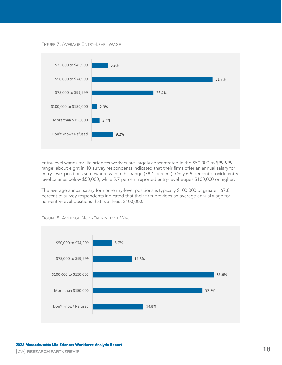FIGURE 7. AVERAGE ENTRY-LEVEL WAGE



Entry-level wages for life sciences workers are largely concentrated in the \$50,000 to \$99,999 range; about eight in 10 survey respondents indicated that their firms offer an annual salary for entry-level positions somewhere within this range (78.1 percent). Only 6.9 percent provide entrylevel salaries below \$50,000, while 5.7 percent reported entry-level wages \$100,000 or higher.

The average annual salary for non-entry-level positions is typically \$100,000 or greater; 67.8 percent of survey respondents indicated that their firm provides an average annual wage for non-entry-level positions that is at least \$100,000.



FIGURE 8. AVERAGE NON-ENTRY-LEVEL WAGE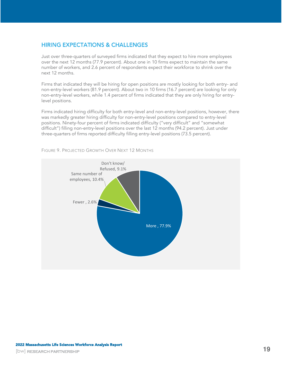## <span id="page-18-0"></span>**HIRING EXPECTATIONS & CHALLENGES**

Just over three-quarters of surveyed firms indicated that they expect to hire more employees over the next 12 months (77.9 percent). About one in 10 firms expect to maintain the same number of workers, and 2.6 percent of respondents expect their workforce to shrink over the next 12 months.

Firms that indicated they will be hiring for open positions are mostly looking for both entry- and non-entry-level workers (81.9 percent). About two in 10 firms (16.7 percent) are looking for only non-entry-level workers, while 1.4 percent of firms indicated that they are only hiring for entrylevel positions.

Firms indicated hiring difficulty for both entry-level and non-entry-level positions, however, there was markedly greater hiring difficulty for non-entry-level positions compared to entry-level positions. Ninety-four percent of firms indicated difficulty ("very difficult" and "somewhat difficult") filling non-entry-level positions over the last 12 months (94.2 percent). Just under three-quarters of firms reported difficulty filling entry-level positions (73.5 percent).



FIGURE 9. PROJECTED GROWTH OVER NEXT 12 MONTHS

**19**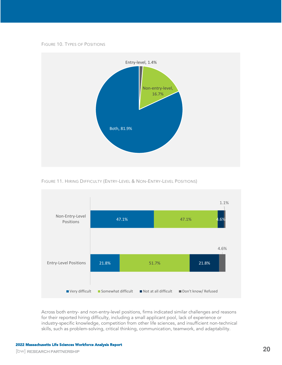



FIGURE 11. HIRING DIFFICULTY (ENTRY-LEVEL & NON-ENTRY-LEVEL POSITIONS)



Across both entry- and non-entry-level positions, firms indicated similar challenges and reasons for their reported hiring difficulty, including a small applicant pool, lack of experience or industry-specific knowledge, competition from other life sciences, and insufficient non-technical skills, such as problem-solving, critical thinking, communication, teamwork, and adaptability.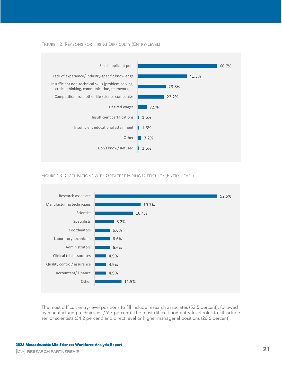FIGURE 12. REASONS FOR HIRING DIFFICULTY (ENTRY-LEVEL)







The most difficult entry-level positions to fill include research associates (52.5 percent), followed by manufacturing technicians (19.7 percent). The most difficult non-entry-level roles to fill include senior scientists (34.2 percent) and direct level or higher managerial positions (26.6 percent).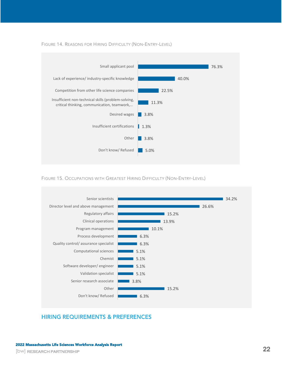

FIGURE 14. REASONS FOR HIRING DIFFICULTY (NON-ENTRY-LEVEL)

FIGURE 15. OCCUPATIONS WITH GREATEST HIRING DIFFICULTY (NON-ENTRY-LEVEL)



## <span id="page-21-0"></span>**HIRING REQUIREMENTS & PREFERENCES**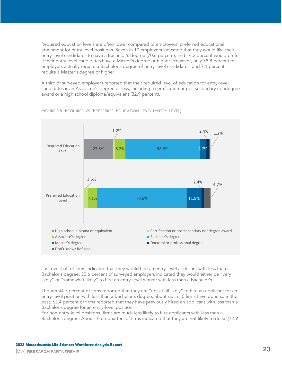Required education levels are often lower compared to employers' preferred educational attainment for entry-level positions. Seven in 10 employers indicated that they would like their entry-level candidates to have a Bachelor's degree (70.6 percent), and 14.2 percent would prefer if their entry-level candidates have a Master's degree or higher. However, only 58.8 percent of employers actually require a Bachelor's degree of entry-level candidates, and 7.1 percent require a Master's degree or higher.

A third of surveyed employers reported that their required level of education for entry-level candidates is an Associate's degree or less, including a certification or postsecondary nondegree award or a high school diploma/equivalent (32.9 percent).



FIGURE 16. REQUIRED VS. PREFERRED EDUCATION LEVEL (ENTRY-LEVEL)

Just over half of firms indicated that they would hire an entry-level applicant with less than a Bachelor's degree; 50.6 percent of surveyed employers indicated they would either be "very likely" or "somewhat likely" to hire an entry-level worker with less than a Bachelor's.

Though 44.7 percent of firms reported that they are "not at all likely" to hire an applicant for an entry-level position with less than a Bachelor's degree, about six in 10 firms have done so in the past; 62.4 percent of firms reported that they have previously hired an applicant with less than a Bachelor's degree for an entry-level position.

For non-entry-level positions, firms are much less likely to hire applicants with less than a Bachelor's degree. About three-quarters of firms indicated that they are not likely to do so (72.9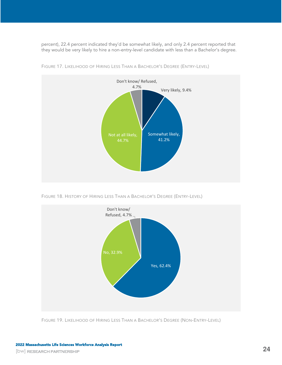percent), 22.4 percent indicated they'd be somewhat likely, and only 2.4 percent reported that they would be very likely to hire a non-entry-level candidate with less than a Bachelor's degree.



FIGURE 17. LIKELIHOOD OF HIRING LESS THAN A BACHELOR'S DEGREE (ENTRY-LEVEL)

FIGURE 18. HISTORY OF HIRING LESS THAN A BACHELOR'S DEGREE (ENTRY-LEVEL)



FIGURE 19. LIKELIHOOD OF HIRING LESS THAN A BACHELOR'S DEGREE (NON-ENTRY-LEVEL)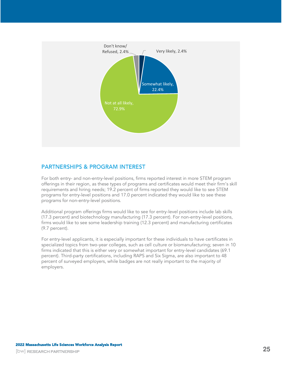

## <span id="page-24-0"></span>**PARTNERSHIPS & PROGRAM INTEREST**

For both entry- and non-entry-level positions, firms reported interest in more STEM program offerings in their region, as these types of programs and certificates would meet their firm's skill requirements and hiring needs; 19.2 percent of firms reported they would like to see STEM programs for entry-level positions and 17.0 percent indicated they would like to see these programs for non-entry-level positions.

Additional program offerings firms would like to see for entry-level positions include lab skills (17.3 percent) and biotechnology manufacturing (17.3 percent). For non-entry-level positions, firms would like to see some leadership training (12.3 percent) and manufacturing certificates (9.7 percent).

For entry-level applicants, it is especially important for these individuals to have certificates in specialized topics from two-year colleges, such as cell culture or biomanufacturing; seven in 10 firms indicated that this is either very or somewhat important for entry-level candidates (69.1 percent). Third-party certifications, including RAPS and Six Sigma, are also important to 48 percent of surveyed employers, while badges are not really important to the majority of employers.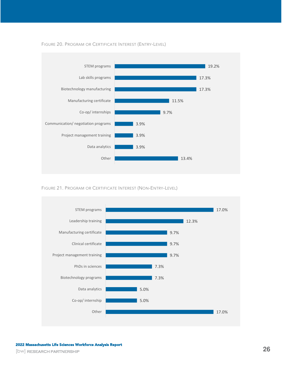

#### FIGURE 20. PROGRAM OR CERTIFICATE INTEREST (ENTRY-LEVEL)

FIGURE 21. PROGRAM OR CERTIFICATE INTEREST (NON-ENTRY-LEVEL)

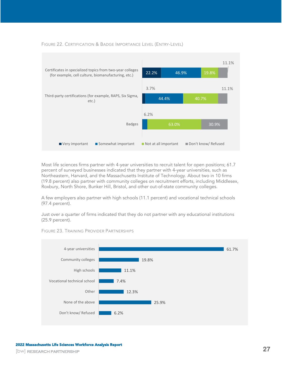

#### FIGURE 22. CERTIFICATION & BADGE IMPORTANCE LEVEL (ENTRY-LEVEL)

Most life sciences firms partner with 4-year universities to recruit talent for open positions; 61.7 percent of surveyed businesses indicated that they partner with 4-year universities, such as Northeastern, Harvard, and the Massachusetts Institute of Technology. About two in 10 firms (19.8 percent) also partner with community colleges on recruitment efforts, including Middlesex, Roxbury, North Shore, Bunker Hill, Bristol, and other out-of-state community colleges.

A few employers also partner with high schools (11.1 percent) and vocational technical schools (97.4 percent).

Just over a quarter of firms indicated that they do not partner with any educational institutions (25.9 percent).



FIGURE 23. TRAINING PROVIDER PARTNERSHIPS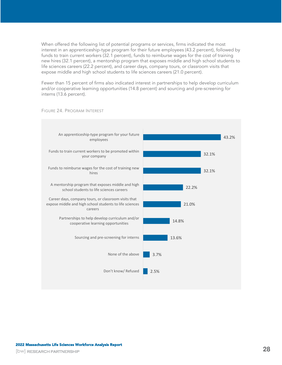When offered the following list of potential programs or services, firms indicated the most interest in an apprenticeship-type program for their future employees (43.2 percent), followed by funds to train current workers (32.1 percent), funds to reimburse wages for the cost of training new hires (32.1 percent), a mentorship program that exposes middle and high school students to life sciences careers (22.2 percent), and career days, company tours, or classroom visits that expose middle and high school students to life sciences careers (21.0 percent).

Fewer than 15 percent of firms also indicated interest in partnerships to help develop curriculum and/or cooperative learning opportunities (14.8 percent) and sourcing and pre-screening for interns (13.6 percent).



FIGURE 24. PROGRAM INTEREST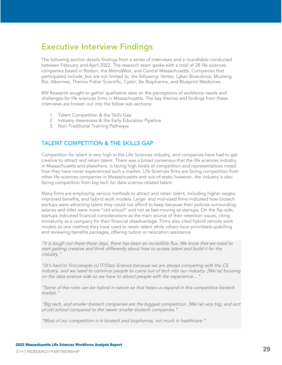## <span id="page-28-0"></span>**Executive Interview Findings**

The following section details findings from a series of interviews and a roundtable conducted between February and April 2022. The research team spoke with a total of 28 life sciences companies based in Boston, the MetroWest, and Central Massachusetts. Companies that participated include, but are not limited to, the following: Vertex, Lykan Bioscience, Mustang Bio, Alkermes, Thermo Fisher Scientific, Cyteir, Be Biopharma, and Blueprint Medicines.

BW Research sought to gather qualitative data on the perceptions of workforce needs and challenges for life sciences firms in Massachusetts. The key themes and findings from these interviews are broken out into the follow sub-sections:

- 1. Talent Competition & the Skills Gap
- 2. Industry Awareness & the Early Education Pipeline
- 3. Non-Traditional Training Pathways

## <span id="page-28-1"></span>**TALENT COMPETITION & THE SKILLS GAP**

Competition for talent is very high in the Life Sciences industry, and companies have had to get creative to attract and retain talent. There was a broad consensus that the life sciences industry, in Massachusetts and elsewhere, is facing high levels of competition and representatives noted how they have never experienced such a market. Life Sciences firms are facing competition from other life sciences companies in Massachusetts and out-of-state; however, the industry is also facing competition from big tech for data science-related talent.

Many firms are employing various methods to attract and retain talent, including higher wages, improved benefits, and hybrid work models. Large- and mid-sized firms indicated how biotech startups were attracting talent they could not afford to keep because their policies surrounding salaries and titles were more "old school" and not as fast-moving as startups. On the flip side, startups indicated financial considerations as the main source of their retention issues, citing immaturity as a company for their financial disadvantage. Firms also cited hybrid remote work models as one method they have used to retain talent while others have prioritized upskilling and reviewing benefits packages, offering tuition or relocation assistance.

"It is tough out there these days, there has been an incredible flux. We know that we need to start getting creative and think differently about how to access talent and build it for the industry."

"[It's hard to find people in] IT/Data Science because we are always competing with the CS industry, and we need to convince people to come out of tech into our industry. [We're] focusing on the data science side so we have to attract people with the experience…"

"Some of the roles can be hybrid in nature so that helps us expand in this competitive biotech market."

"Big tech, and smaller biotech companies are the biggest competition. [We're] very big, and sort of old school compared to the newer smaller biotech companies."

"Most of our competition is in biotech and biopharma, not much in healthcare."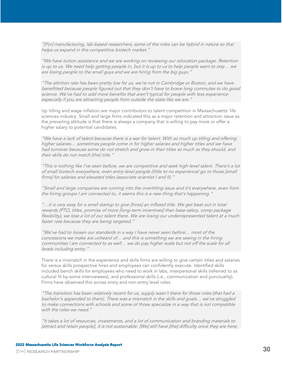"[For] manufacturing, lab-based researchers, some of the roles can be hybrid in nature so that helps us expand in this competitive biotech market."

"We have tuition assistance and we are working on reviewing our relocation package. Retention is up to us. We need help getting people in, but it is up to us to help people want to stay… w<sup>e</sup> are losing people to the small guys and we are hiring from the big guys.'

"The attrition rate has been pretty low for us, we're not in Cambridge or Boston, and we have benefitted because people figured out that they don't have to brave long commutes to do good science. We've had to add more benefits that aren't typical for people with less experience especially if you are attracting people from outside the state like we are."

Up titling and wage inflation are major contributors to talent competition in Massachusetts' life sciences industry. Small and large firms indicated this as a major retention and attraction issue as the prevailing attitude is that there is always a company that is willing to pay more or offer a higher salary to potential candidates.

"We have a lack of talent because there is a war for talent. With so much up titling and offering higher salaries… sometimes people come in for higher salaries and higher titles and we have had turnover because some do not stretch and grow in their titles as much as they should, and their skills do not match [the] title."

"This is nothing like I've seen before, we are competitive and seek high-level talent. There's a lot of small biotech everywhere, even entry-level people (little to no experience) go to those [small firms] for salaries and elevated titles (associate scientist I and II)."

"Small and large companies are running into the overtitling issue and it's everywhere, even from the hiring groups I am connected to, it seems this is a new thing that's happening."

"…it is very easy for a small startup to give [hires] an inflated title. We get beat out in total rewards (PTO, titles, promise of more [long-term incentives] than base salary, comp package flexibility), we lose a lot of our talent there. We are losing our underrepresented talent at a much faster rate because they are being targeted."

"We've had to loosen our standards in a way I have never seen before… most of the concessions we make are unheard of… and this is something we are seeing in the hiring communities I am connected to as well… we do pay higher scale but not off the scale for all levels including entry."

There is a mismatch in the experience and skills firms are willing to give certain titles and salaries for versus skills prospective hires and employees can confidently execute. Identified skills included bench skills for employees who need to work in labs, interpersonal skills (referred to as cultural fit by some interviewees), and professional skills (i.e., communication and punctuality). Firms have observed this across entry and non-entry level roles.

"The transition has been relatively recent for us, supply wasn't there for those roles (that had a bachelor's appended to them). There was a mismatch in the skills and goals… we've struggled to make connections with schools and some of those specialize in a way that is not compatible with the roles we need."

"It takes a lot of resources, investments, and a lot of communication and branding materials to [attract and retain people], it is not sustainable. [We] still have [the] difficulty once they are here,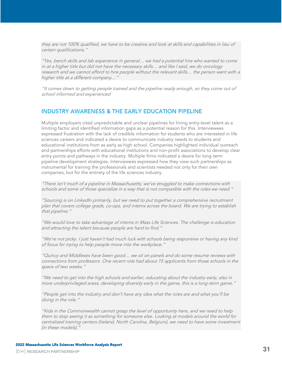they are not 100% qualified, we have to be creative and look at skills and capabilities in lieu of certain qualifications."

"Yes, bench skills and lab experience in general… we had a potential hire who wanted to come in at a higher title but did not have the necessary skills… and like I said, we do oncology research and we cannot afford to hire people without the relevant skills… the person went with <sup>a</sup> higher title at a different company…"

"It comes down to getting people trained and the pipeline ready enough, so they come out of school informed and experienced

## <span id="page-30-0"></span>**INDUSTRY AWARENESS & THE EARLY EDUCATION PIPELINE**

Multiple employers cited unpredictable and unclear pipelines for hiring entry-level talent as a limiting factor and identified information gaps as a potential reason for this. Interviewees expressed frustration with the lack of credible information for students who are interested in life sciences careers and indicated a desire to communicate industry needs to students and educational institutions from as early as high school. Companies highlighted individual outreach and partnerships efforts with educational institutions and non-profit associations to develop clear entry points and pathways in the industry. Multiple firms indicated a desire for long-term pipeline development strategies. Interviewees expressed how they view such partnerships as instrumental for training the professionals and scientists needed not only for their own companies, but for the entirety of the life sciences industry.

"There isn't much of a pipeline in Massachusetts, we've struggled to make connections with schools and some of those specialize in a way that is not compatible with the roles we need."

"Sourcing is on LinkedIn primarily, but we need to put together a comprehensive recruitment plan that covers college grads, co-ops, and interns across the board. We are trying to establish that pipeline."

"We would love to take advantage of interns in Mass Life Sciences. The challenge is education and attracting the talent because people are hard to find."

"We're not picky. I just haven't had much luck with schools being responsive or having any kind of focus for trying to help people move into the workplace."

"Quincy and Middlesex have been good… we sit on panels and do some resume reviews with connections from professors. One recent role had about 15 applicants from those schools in the space of two weeks."

"We need to get into the high schools and earlier, educating about the industry early, also in more underprivileged areas, developing diversity early in the game, this is a long-term game."

"People get into the industry and don't have any idea what the roles are and what you'll be doing in the role."

"Kids in the Commonwealth cannot grasp the level of opportunity here, and we need to help them to stop seeing it as something for someone else. Looking at models around the world for centralized training centers (Ireland, North Carolina, Belgium), we need to have some investment [in these models]."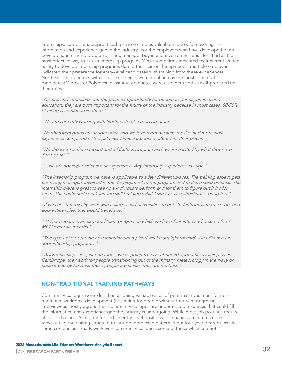Internships, co-ops, and apprenticeships were cited as valuable models for covering the information and experience gap in the industry. For the employers who have developed or are developing internship programs, hiring manager buy in and involvement was identified as the most effective way to run an internship program. While some firms indicated their current limited ability to develop internship programs due to their current hiring needs, multiple employers indicated their preference for entry-level candidates with training from these experiences. Northeastern graduates with co-op experience were identified as the most sought-after candidates; Worcester Polytechnic Institute graduates were also identified as well-prepared for their roles.

"Co-ops and internships are the greatest opportunity for people to get experience and education, they are both important for the future of the industry because in most cases, 60-70% of hiring is coming from there."

"We are currently working with Northeastern's co-op program…"

"Northeastern grads are sought after, and we love them because they've had more work experience compared to the pale academic experience offered in other places."

"Northeastern is the standard and a fabulous program and we are excited by what they have done so far."

"…we are not super strict about experience. Any internship experience is huge."

"The internship program we have is applicable to a few different places. The training aspect gets our hiring managers involved in the development of the program and that is a solid practice. The internship piece is great to see how individuals perform and for them to figure out if it's for them. The continued check-ins and skill building (what I like to call scaffolding) is good too."

"If we can strategically work with colleges and universities to get students into intern, co-op, and apprentice roles, that would benefit us."

"We participate in an earn-and-learn program in which we have four interns who come from MCC every six months."

"The types of jobs [at the new manufacturing plant] will be straight forward. We will have an apprenticeship program…"

"Apprenticeships are just one tool… we're going to have about 20 apprentices joining us. In Cambridge, they work for people transitioning out of the military, meteorology in the Navy or nuclear energy because those people are stellar, they are the best."

## <span id="page-31-0"></span>**NON-TRADITIONAL TRAINING PATHWAYS**

Community colleges were identified as being valuable sites of potential investment for nontraditional workforce development (i.e., hiring for people without four-year degrees). Interviewees mostly agreed that community colleges are underutilized resources that could fill the information and experience gap the industry is undergoing. While most job postings require at least a bachelor's degree for certain entry-level positions, companies are interested in reevaluating their hiring structure to include more candidates without four-year degrees. While some companies already work with community colleges, some of those which did not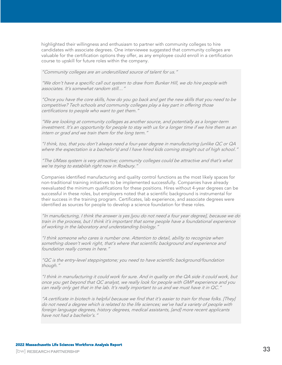highlighted their willingness and enthusiasm to partner with community colleges to hire candidates with associate degrees. One interviewee suggested that community colleges are valuable for the certification options they offer, as any employee could enroll in a certification course to upskill for future roles within the company.

"Community colleges are an underutilized source of talent for us."

"We don't have a specific call out system to draw from Bunker Hill, we do hire people with associates. It's somewhat random still…"

"Once you have the core skills, how do you go back and get the new skills that you need to be competitive? Tech schools and community colleges play a key part in offering those certifications to people who want to get them."

"We are looking at community colleges as another source, and potentially as a longer-term investment. It's an opportunity for people to stay with us for a longer time if we hire them as an intern or grad and we train them for the long term."

"I think, too, that you don't always need a four-year degree in manufacturing (unlike QC or QA where the expectation is a bachelor's) and I have hired kids coming straight out of high school."

"The UMass system is very attractive; community colleges could be attractive and that's what we're trying to establish right now in Roxbury."

Companies identified manufacturing and quality control functions as the most likely spaces for non-traditional training initiatives to be implemented successfully. Companies have already reevaluated the minimum qualifications for these positions. Hires without 4-year degrees can be successful in these roles, but employers noted that a scientific background is instrumental for their success in the training program. Certificates, lab experience, and associate degrees were identified as sources for people to develop a science foundation for these roles.

"In manufacturing, I think the answer is yes [you do not need a four year degree], because we do train in the process, but I think it's important that some people have a foundational experience of working in the laboratory and understanding biology."

"I think someone who cares is number one. Attention to detail, ability to recognize when something doesn't work right, that's where that scientific background and experience and foundation really comes in here."

"QC is the entry-level steppingstone; you need to have scientific background/foundation though."

"I think in manufacturing it could work for sure. And in quality on the QA side it could work, but once you get beyond that QC analyst, we really look for people with GMP experience and you can really only get that in the lab. It's really important to us and we must have it in QC."

"A certificate in biotech is helpful because we find that it's easier to train for those folks. [They] do not need a degree which is related to the life sciences; we've had a variety of people with foreign language degrees, history degrees, medical assistants, [and] more recent applicants have not had a bachelor's."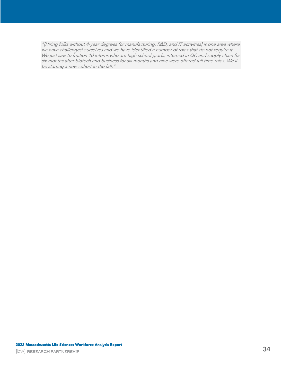"[Hiring folks without 4-year degrees for manufacturing, R&D, and IT activities] is one area where we have challenged ourselves and we have identified a number of roles that do not require it. We just saw to fruition 10 interns who are high school grads, interned in QC and supply chain for six months after biotech and business for six months and nine were offered full time roles. We'll be starting a new cohort in the fall."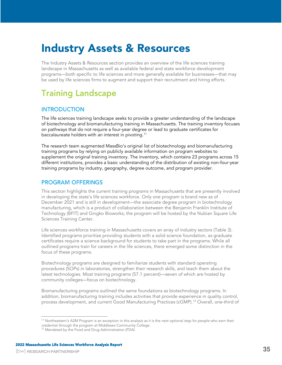# <span id="page-34-0"></span>Industry Assets & Resources

The Industry Assets & Resources section provides an overview of the life sciences training landscape in Massachusetts as well as available federal and state workforce development programs—both specific to life sciences and more generally available for businesses—that may be used by life sciences firms to augment and support their recruitment and hiring efforts.

## <span id="page-34-1"></span>**Training Landscape**

## <span id="page-34-2"></span>**INTRODUCTION**

The life sciences training landscape seeks to provide a greater understanding of the landscape of biotechnology and biomanufacturing training in Massachusetts. The training inventory focuses on pathways that do not require a four-year degree or lead to graduate certificates for baccalaureate holders with an interest in pivoting. $^{\rm 11}$ 

The research team augmented MassBio's original list of biotechnology and biomanufacturing training programs by relying on publicly available information on program websites to supplement the original training inventory. The inventory, which contains 23 programs across 15 different institutions, provides a basic understanding of the distribution of existing non-four-year training programs by industry, geography, degree outcome, and program provider.

## <span id="page-34-3"></span>**PROGRAM OFFERINGS**

<span id="page-34-4"></span>This section highlights the current training programs in Massachusetts that are presently involved in developing the state's life sciences workforce. Only one program is brand new as of December 2021 and is still in development—the associate degree program in biotechnology manufacturing, which is a product of collaboration between the Benjamin Franklin Institute of Technology (BFIT) and Gingko Bioworks; the program will be hosted by the Nubian Square Life Sciences Training Center.

Life sciences workforce training in Massachusetts covers an array of industry sectors [\(Table 3\)](#page-35-0). Identified programs prioritize providing students with a solid science foundation, as graduate certificates require a science background for students to take part in the programs. While all outlined programs train for careers in the life sciences, there emerged some distinction in the focus of these programs.

Biotechnology programs are designed to familiarize students with standard operating procedures (SOPs) in laboratories, strengthen their research skills, and teach them about the latest technologies. Most training programs (57.1 percent)—seven of which are hosted by community colleges—focus on biotechnology.

Biomanufacturing programs outlined the same foundations as biotechnology programs. In addition, biomanufacturing training includes activities that provide experience in quality control, process development, and current Good Manufacturing Practices (cGMP).<sup>12</sup> Overall, one-third of

<sup>&</sup>lt;sup>11</sup> Northeastern's A2M Program is an exception in this analysis as it is the next optional step for people who earn their credential through the program at Middlesex Community College.

<sup>&</sup>lt;sup>12</sup> Mandated by the Food and Drug Administration (FDA)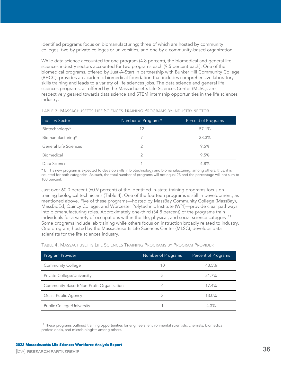identified programs focus on biomanufacturing; three of which are hosted by community colleges, two by private colleges or universities, and one by a community-based organization.

While data science accounted for one program (4.8 percent), the biomedical and general life sciences industry sectors accounted for two programs each (9.5 percent each). One of the biomedical programs, offered by Just-A-Start in partnership with Bunker Hill Community College (BHCC), provides an academic biomedical foundation that includes comprehensive laboratory skills training and leads to a variety of life sciences jobs. The data science and general life sciences programs, all offered by the Massachusetts Life Sciences Center (MLSC), are respectively geared towards data science and STEM internship opportunities in the life sciences industry.

| <b>Industry Sector</b> | Number of Programs* | Percent of Programs |
|------------------------|---------------------|---------------------|
| Biotechnology*         | 12                  | 57.1%               |
| Biomanufacturing*      |                     | 33.3%               |
| General Life Sciences  |                     | 9.5%                |
| Biomedical             |                     | 9.5%                |
| Data Science           |                     | 4.8%                |

<span id="page-35-0"></span>TABLE 3. MASSACHUSETTS LIFE SCIENCES TRAINING PROGRAMS BY INDUSTRY SECTOR

\* BFIT's new program is expected to develop skills in biotechnology and biomanufacturing, among others; thus, it is counted for both categories. As such, the total number of programs will not equal 23 and the percentage will not sum to 100 percent.

Just over 60.0 percent (60.9 percent) of the identified in-state training programs focus on training biological technicians [\(Table 4\).](#page-35-1) One of the fourteen programs is still in development, as mentioned [above.](#page-34-4) Five of these programs—hosted by MassBay Community College (MassBay), MassBioEd, Quincy College, and Worcester Polytechnic Institute (WPI)—provide clear pathways into biomanufacturing roles. Approximately one-third (34.8 percent) of the programs train individuals for a variety of occupations within the life, physical, and social science category.<sup>13</sup> Some programs include lab training while others focus on instruction broadly related to industry. One program, hosted by the Massachusetts Life Sciences Center (MLSC), develops data scientists for the life sciences industry.

<span id="page-35-1"></span>TABLE 4. MASSACHUSETTS LIFE SCIENCES TRAINING PROGRAMS BY PROGRAM PROVIDER

| Program Provider                        | Number of Programs | Percent of Programs |
|-----------------------------------------|--------------------|---------------------|
| <b>Community College</b>                | 10                 | 43.5%               |
| Private College/University              | 5                  | 21.7%               |
| Community-Based/Non-Profit Organization | 4                  | 17.4%               |
| Quasi-Public Agency                     | 3                  | 13.0%               |
| <b>Public College/University</b>        |                    | 4.3%                |

<sup>&</sup>lt;sup>13</sup> These programs outlined training opportunities for engineers, environmental scientists, chemists, biomedical professionals, and microbiologists among others.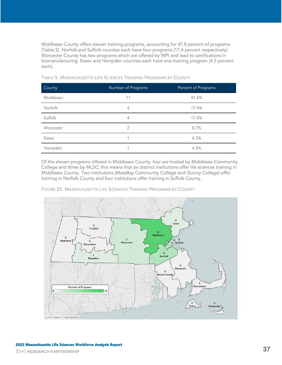Middlesex County offers eleven training programs, accounting for 47.8 percent of programs [\(Table 5\)](#page-36-0). Norfolk and Suffolk counties each have four programs (17.4 percent respectively). Worcester County has two programs which are offered by WPI and lead to certifications in biomanufacturing. Essex and Hampden counties each have one training program (4.3 percent each).

| County    | Number of Programs | Percent of Programs |
|-----------|--------------------|---------------------|
| Middlesex | 11                 | 47.8%               |
| Norfolk   | 4                  | 17.4%               |
| Suffolk   | $\overline{4}$     | 17.4%               |
| Worcester | 2                  | 8.7%                |
| Essex     |                    | 4.3%                |
| Hampden   |                    | 4.3%                |

<span id="page-36-0"></span>TABLE 5. MASSACHUSETTS LIFE SCIENCES TRAINING PROGRAMS BY COUNTY

Of the eleven programs offered in Middlesex County, four are hosted by Middlesex Community College and three by MLSC; this means that six distinct institutions offer life sciences training in Middlesex County. Two institutions (MassBay Community College and Quincy College) offer training in Norfolk County and four institutions offer training in Suffolk County.



FIGURE 25. MASSACHUSETTS LIFE SCIENCES TRAINING PROGRAMS BY COUNTY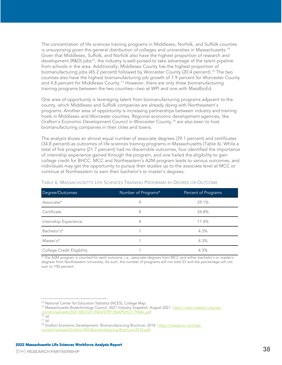The concentration of life sciences training programs in Middlesex, Norfolk, and Suffolk counties is unsurprising given the general distribution of colleges and universities in Massachusetts.<sup>14</sup> Given that Middlesex, Suffolk, and Norfolk also have the highest proportion of research and development (R&D) jobs<sup>15</sup>, the industry is well-poised to take advantage of the talent pipeline from schools in the area. Additionally, Middlesex County has the highest proportion of biomanufacturing jobs (45.2 percent) followed by Worcester County (20.4 percent).<sup>16</sup> The two counties also have the highest biomanufacturing job growth of 7.9 percent for Worcester County and 4.8 percent for Middlesex County.<sup>17</sup> However, there are only three biomanufacturing training programs between the two counties—two at WPI and one with MassBioEd.

One area of opportunity is leveraging talent from biomanufacturing programs adjacent to the county, which Middlesex and Suffolk companies are already doing with Northeastern's programs. Another area of opportunity is increasing partnerships between industry and training hosts in Middlesex and Worcester counties. Regional economic development agencies, like Grafton's Economic Development Council in Worcester County,<sup>18</sup> are also keen to host biomanufacturing companies in their cities and towns.

The analysis shows an almost equal number of associate degrees (39.1 percent) and certificates (34.8 percent) as outcomes of life sciences training programs in Massachusetts [\(Table 6\).](#page-37-0) While a total of five programs (21.7 percent) had no discernible outcomes, four identified the importance of internship experience gained through the program, and one hailed the eligibility to gain college credit for BHCC. MCC and Northeastern's A2M program leads to various outcomes, and individuals may get the opportunity to pursue their studies up to the associate level at MCC or continue at Northeastern to earn their bachelor's or master's degrees.

| Degree/Outcomes            | Number of Programs* | Percent of Programs |
|----------------------------|---------------------|---------------------|
| Associate*                 |                     | 39.1%               |
| Certificate                | 8                   | 34.8%               |
| Internship Experience      | 4                   | 17.4%               |
| Bachelor's*                |                     | 4.3%                |
| Master's*                  |                     | 4.3%                |
| College Credit Eligibility |                     | 4.3%                |

#### <span id="page-37-0"></span>TABLE 6. MASSACHUSETTS LIFE SCIENCES TRAINING PROGRAMS BY DEGREE OR OUTCOME

\* The A2M program is counted for each outcome, i.e., associate degrees from MCC and either bachelor's or master's degrees from Northeastern University. As such, the number of programs will not total 23 and the percentage will not sum to 100 percent.

<sup>&</sup>lt;sup>14</sup> National Center for Education Statistics (NCES), College Map.

<sup>&</sup>lt;sup>15</sup> Massachusetts Biotechnology Council. 2021 Industry Snapshot. August 2021. [https://www.massbio.org/wp-](https://www.massbio.org/wp-content/uploads/2021/08/2021-INDUSTRY-SNAPSHOT_FINAL.pdf)

[content/uploads/2021/08/2021-INDUSTRY-SNAPSHOT\\_FINAL.pdf.](https://www.massbio.org/wp-content/uploads/2021/08/2021-INDUSTRY-SNAPSHOT_FINAL.pdf) 

 $16$  /d.

 $17$  *Id.* 

<sup>&</sup>lt;sup>18</sup> Grafton Economic Development. Biomanufacturing Brochure. 2018. [https://massecon.com/wp](https://massecon.com/wp-content/uploads/Grafton-MA-Biomanufaturing-Brochure-2018.pdf)[content/uploads/Grafton-MA-Biomanufaturing-Brochure-2018.pdf.](https://massecon.com/wp-content/uploads/Grafton-MA-Biomanufaturing-Brochure-2018.pdf)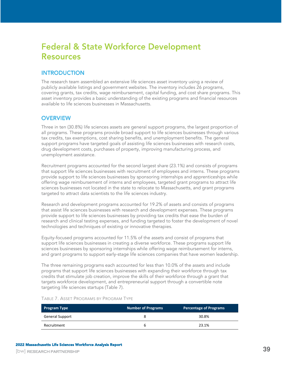## <span id="page-38-0"></span>**Federal & State Workforce Development Resources**

## <span id="page-38-1"></span>**INTRODUCTION**

The research team assembled an extensive life sciences asset inventory using a review of publicly available listings and government websites. The inventory includes 26 programs, covering grants, tax credits, wage reimbursement, capital funding, and cost share programs. This asset inventory provides a basic understanding of the existing programs and financial resources available to life sciences businesses in Massachusetts.

## <span id="page-38-2"></span>**OVERVIEW**

Three in ten (30.8%) life sciences assets are general support programs, the largest proportion of all programs. These programs provide broad support to life sciences businesses through various tax credits, tax exemptions, cost sharing benefits, and unemployment benefits. The general support programs have targeted goals of assisting life sciences businesses with research costs, drug development costs, purchases of property, improving manufacturing process, and unemployment assistance.

Recruitment programs accounted for the second largest share (23.1%) and consists of programs that support life sciences businesses with recruitment of employees and interns. These programs provide support to life sciences businesses by sponsoring internships and apprenticeships while offering wage reimbursement of interns and employees, targeted grant programs to attract life sciences businesses not located in the state to relocate to Massachusetts, and grant programs targeted to attract data scientists to the life sciences industry.

Research and development programs accounted for 19.2% of assets and consists of programs that assist life sciences businesses with research and development expenses. These programs provide support to life sciences businesses by providing tax credits that ease the burden of research and clinical testing expenses, and funding targeted to foster the development of novel technologies and techniques of existing or innovative therapies.

Equity-focused programs accounted for 11.5% of the assets and consist of programs that support life sciences businesses in creating a diverse workforce. These programs support life sciences businesses by sponsoring internships while offering wage reimbursement for interns, and grant programs to support early-stage life sciences companies that have women leadership.

The three remaining programs each accounted for less than 10.0% of the assets and include programs that support life sciences businesses with expanding their workforce through tax credits that stimulate job creation, improve the skills of their workforce through a grant that targets workforce development, and entrepreneurial support through a convertible note targeting life sciences startups [\(Table 7\)](#page-38-3).

| <b>Program Type</b>    | <b>Number of Programs</b> | <b>Percentage of Programs</b> |
|------------------------|---------------------------|-------------------------------|
| <b>General Support</b> |                           | 30.8%                         |
| Recruitment            | h                         | 23.1%                         |

<span id="page-38-3"></span>TABLE 7. ASSET PROGRAMS BY PROGRAM TYPE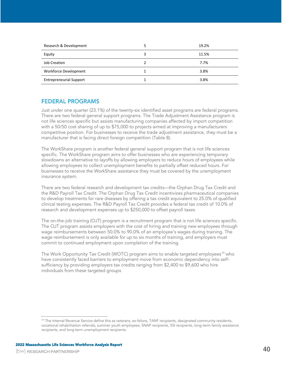| Research & Development         |   | 19.2% |
|--------------------------------|---|-------|
| Equity                         | 3 | 11.5% |
| <b>Job Creation</b>            |   | 7.7%  |
| Workforce Development          |   | 3.8%  |
| <b>Entrepreneurial Support</b> |   | 3.8%  |

## <span id="page-39-0"></span>**FEDERAL PROGRAMS**

Just under one quarter (23.1%) of the twenty-six identified asset programs are federal programs. There are two federal general support programs. The Trade Adjustment Assistance program is not life sciences specific but assists manufacturing companies affected by import competition with a 50/50 cost sharing of up to \$75,000 to projects aimed at improving a manufacturers competitive position. For businesses to receive the trade adjustment assistance, they must be a manufacturer that is facing direct foreign competition [\(Table 8\)](#page-40-1).

The WorkShare program is another federal general support program that is not life sciences specific. The WorkShare program aims to offer businesses who are experiencing temporary slowdowns an alternative to layoffs by allowing employers to reduce hours of employees while allowing employees to collect unemployment benefits to partially offset reduced hours. For businesses to receive the WorkShare assistance they must be covered by the unemployment insurance system.

There are two federal research and development tax credits—the Orphan Drug Tax Credit and the R&D Payroll Tax Credit. The Orphan Drug Tax Credit incentivizes pharmaceutical companies to develop treatments for rare diseases by offering a tax credit equivalent to 25.0% of qualified clinical testing expenses. The R&D Payroll Tax Credit provides a federal tax credit of 10.0% of research and development expenses up to \$250,000 to offset payroll taxes

The on-the-job training (OJT) program is a recruitment program that is not life sciences specific. The OJT program assists employers with the cost of hiring and training new employees through wage reimbursements between 50.0% to 90.0% of an employee's wages during training. The wage reimbursement is only available for up to six months of training, and employers must commit to continued employment upon completion of the training.

The Work Opportunity Tax Credit (WOTC) program aims to enable targeted employees<sup>19</sup> who have consistently faced barriers to employment move from economic dependency into selfsufficiency by providing employers tax credits ranging from \$2,400 to \$9,600 who hire individuals from these targeted groups

<sup>&</sup>lt;sup>19</sup> The Internal Revenue Service define this as veterans, ex-felons, TANF recipients, designated community residents, vocational rehabilitation referrals, summer youth employees, SNAP recipients, SSI recipients, long-term family assistance recipients, and long-term unemployment recipients.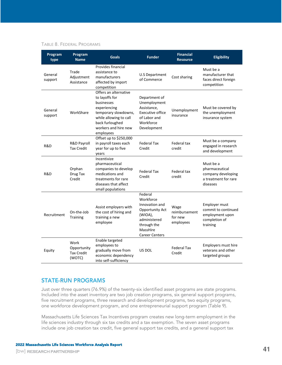#### <span id="page-40-1"></span>TABLE 8. FEDERAL PROGRAMS

| Program<br>type    | Program<br><b>Name</b>                             | <b>Goals</b>                                                                                                                                                                    | <b>Funder</b>                                                                                                                            | <b>Financial</b><br><b>Resource</b>           | <b>Eligibility</b>                                                                    |
|--------------------|----------------------------------------------------|---------------------------------------------------------------------------------------------------------------------------------------------------------------------------------|------------------------------------------------------------------------------------------------------------------------------------------|-----------------------------------------------|---------------------------------------------------------------------------------------|
| General<br>support | Trade<br>Adjustment<br>Assistance                  | Provides financial<br>assistance to<br>manufacturers<br>affected by import<br>competition                                                                                       | <b>U.S Department</b><br>of Commerce                                                                                                     | Cost sharing                                  | Must be a<br>manufacturer that<br>faces direct foreign<br>competition                 |
| General<br>support | WorkShare                                          | Offers an alternative<br>to layoffs for<br>businesses<br>experiencing<br>temporary slowdowns,<br>while allowing to call<br>back furloughed<br>workers and hire new<br>employees | Department of<br>Unemployment<br>Assistance,<br><b>Executive office</b><br>of Labor and<br>Workforce<br>Development                      | Unemployment<br>insurance                     | Must be covered by<br>the unemployment<br>insurance system                            |
| R&D                | R&D Payroll<br><b>Tax Credit</b>                   | Offset up to \$250,000<br>in payroll taxes each<br>year for up to five<br>years                                                                                                 | <b>Federal Tax</b><br>Credit                                                                                                             | Federal tax<br>credit                         | Must be a company<br>engaged in research<br>and development                           |
| R&D                | Orphan<br>Drug Tax<br>Credit                       | Incentivize<br>pharmaceutical<br>companies to develop<br>medications and<br>treatments for rare<br>diseases that affect<br>small populations                                    | <b>Federal Tax</b><br>Credit                                                                                                             | Federal tax<br>credit                         | Must be a<br>pharmaceutical<br>company developing<br>a treatment for rare<br>diseases |
| Recruitment        | On-the-Job<br><b>Training</b>                      | Assist employers with<br>the cost of hiring and<br>training a new<br>employee                                                                                                   | Federal<br>Workforce<br>Innovation and<br>Opportunity Act<br>(WIOA),<br>administered<br>through the<br>MassHire<br><b>Career Centers</b> | Wage<br>reimbursement<br>for new<br>employees | Employer must<br>commit to continued<br>employment upon<br>completion of<br>training  |
| Equity             | Work<br>Opportunity<br><b>Tax Credit</b><br>(WOTC) | Enable targeted<br>employees to<br>gradually move from<br>economic dependency<br>into self-sufficiency                                                                          | US DOL                                                                                                                                   | Federal Tax<br>Credit                         | Employers must hire<br>veterans and other<br>targeted groups                          |

## <span id="page-40-0"></span>**STATE-RUN PROGRAMS**

Just over three quarters (76.9%) of the twenty-six identified asset programs are state programs. Included into the asset inventory are two job creation programs, six general support programs, five recruitment programs, three research and development programs, two equity programs, one workforce development program, and one entrepreneurial support program [\(Table 9\)](#page-42-0).

Massachusetts Life Sciences Tax Incentives program creates new long-term employment in the life sciences industry through six tax credits and a tax exemption. The seven asset programs include one job creation tax credit, five general support tax credits, and a general support tax

**41**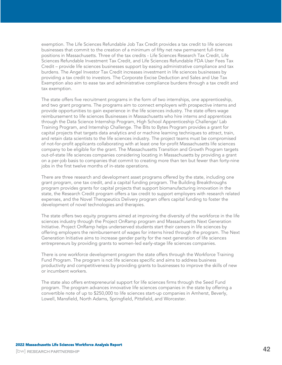exemption. The Life Sciences Refundable Job Tax Credit provides a tax credit to life sciences businesses that commit to the creation of a minimum of fifty net new permanent full-time positions in Massachusetts. Three of the tax credits - Life Sciences Research Tax Credit, Life Sciences Refundable Investment Tax Credit, and Life Sciences Refundable FDA User Fees Tax Credit – provide life sciences businesses support by easing administrative compliance and tax burdens. The Angel Investor Tax Credit increases investment in life sciences businesses by providing a tax credit to investors. The Corporate Excise Deduction and Sales and Use Tax Exemption also aim to ease tax and administrative compliance burdens through a tax credit and tax exemption.

The state offers five recruitment programs in the form of two internships, one apprenticeship, and two grant programs. The programs aim to connect employers with prospective interns and provide opportunities to gain experience in the life sciences industry. The state offers wage reimbursement to life sciences Businesses in Massachusetts who hire interns and apprentices through the Data Science Internship Program, High School Apprenticeship Challenge/ Lab Training Program, and Internship Challenge. The Bits to Bytes Program provides a grant for capital projects that targets data analytics and or machine learning techniques to attract, train, and retain data scientists to the life sciences industry. The project teams must be compromised of not-for-profit applicants collaborating with at least one for-profit Massachusetts life sciences company to be eligible for the grant. The Massachusetts Transition and Growth Program targets out-of-state life sciences companies considering locating in Massachusetts by providing a grant on a per-job basis to companies that commit to creating more than ten but fewer than forty-nine jobs in the first twelve months of in-state operations.

There are three research and development asset programs offered by the state, including one grant program, one tax credit, and a capital funding program. The Building Breakthroughs program provides grants for capital projects that support biomanufacturing innovation in the state, the Research Credit program offers a tax credit to support employers with research related expenses, and the Novel Therapeutics Delivery program offers capital funding to foster the development of novel technologies and therapies.

The state offers two equity programs aimed at improving the diversity of the workforce in the life sciences industry through the Project OnRamp program and Massachusetts Next Generation Initiative. Project OnRamp helps underserved students start their careers in life sciences by offering employers the reimbursement of wages for interns hired through the program. The Next Generation Initiative aims to increase gender parity for the next generation of life sciences entrepreneurs by providing grants to women-led early-stage life sciences companies.

There is one workforce development program the state offers through the Workforce Training Fund Program. The program is not life sciences specific and aims to address business productivity and competitiveness by providing grants to businesses to improve the skills of new or incumbent workers.

The state also offers entrepreneurial support for life sciences firms through the Seed Fund program. The program advances innovative life sciences companies in the state by offering a convertible note of up to \$250,000 to life sciences start-up companies in Amherst, Beverly, Lowell, Mansfield, North Adams, Springfield, Pittsfield, and Worcester.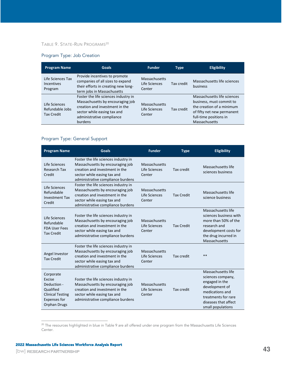### <span id="page-42-0"></span>TABLE 9. STATE-RUN PROGRAMS<sup>20</sup>

### Program Type: Job Creation

| <b>Program Name</b>                                   | <b>Goals</b>                                                                                                                                                                      | <b>Funder</b>                                   | <b>Type</b> | <b>Eligibility</b>                                                                                                                                            |
|-------------------------------------------------------|-----------------------------------------------------------------------------------------------------------------------------------------------------------------------------------|-------------------------------------------------|-------------|---------------------------------------------------------------------------------------------------------------------------------------------------------------|
| Life Sciences Tax<br>Incentives<br>Program            | Provide incentives to promote<br>companies of all sizes to expand<br>their efforts in creating new long-<br>term jobs in Massachusetts                                            | Massachusetts<br>Life Sciences<br>Center        | Tax credit  | Massachusetts life sciences<br>business                                                                                                                       |
| Life Sciences<br>Refundable Jobs<br><b>Tax Credit</b> | Foster the life sciences industry in<br>Massachusetts by encouraging job<br>creation and investment in the<br>sector while easing tax and<br>administrative compliance<br>burdens | <b>Massachusetts</b><br>Life Sciences<br>Center | Tax credit  | Massachusetts life sciences<br>business, must commit to<br>the creation of a minimum<br>of fifty net new permanent<br>full-time positions in<br>Massachusetts |

### Program Type: General Support

| <b>Program Name</b>                                                                                               | <b>Goals</b>                                                                                                                                                                   | <b>Funder</b>                            | <b>Type</b>       | <b>Eligibility</b>                                                                                                                                                 |
|-------------------------------------------------------------------------------------------------------------------|--------------------------------------------------------------------------------------------------------------------------------------------------------------------------------|------------------------------------------|-------------------|--------------------------------------------------------------------------------------------------------------------------------------------------------------------|
| Life Sciences<br><b>Research Tax</b><br>Credit                                                                    | Foster the life sciences industry in<br>Massachusetts by encouraging job<br>creation and investment in the<br>sector while easing tax and<br>administrative compliance burdens | Massachusetts<br>Life Sciences<br>Center | Tax credit        | Massachusetts life<br>sciences business                                                                                                                            |
| Life Sciences<br>Refundable<br><b>Investment Tax</b><br>Credit                                                    | Foster the life sciences industry in<br>Massachusetts by encouraging job<br>creation and investment in the<br>sector while easing tax and<br>administrative compliance burdens | Massachusetts<br>Life Sciences<br>Center | <b>Tax Credit</b> | Massachusetts life<br>science business                                                                                                                             |
| Life Sciences<br>Refundable<br><b>FDA User Fees</b><br><b>Tax Credit</b>                                          | Foster the life sciences industry in<br>Massachusetts by encouraging job<br>creation and investment in the<br>sector while easing tax and<br>administrative compliance burdens | Massachusetts<br>Life Sciences<br>Center | <b>Tax Credit</b> | Massachusetts life<br>sciences business with<br>more than 50% of the<br>research and<br>development costs for<br>the drug incurred in<br>Massachusetts             |
| Angel Investor<br><b>Tax Credit</b>                                                                               | Foster the life sciences industry in<br>Massachusetts by encouraging job<br>creation and investment in the<br>sector while easing tax and<br>administrative compliance burdens | Massachusetts<br>Life Sciences<br>Center | Tax credit        | **                                                                                                                                                                 |
| Corporate<br>Excise<br>Deduction -<br>Qualified<br><b>Clinical Testing</b><br><b>Expenses for</b><br>Orphan Drugs | Foster the life sciences industry in<br>Massachusetts by encouraging job<br>creation and investment in the<br>sector while easing tax and<br>administrative compliance burdens | Massachusetts<br>Life Sciences<br>Center | Tax credit        | Massachusetts life<br>sciences company,<br>engaged in the<br>development of<br>medications and<br>treatments for rare<br>diseases that affect<br>small populations |

<sup>&</sup>lt;sup>20</sup> The resources highlighted in blue in Table 9 are all offered under one program from the Massachusetts Life Sciences Center.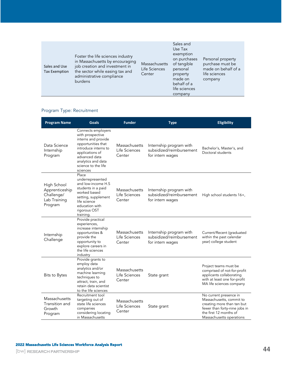| Foster the life sciences industry<br>in Massachusetts by encouraging<br>job creation and investment in<br>Sales and Use<br>the sector while easing tax and<br><b>Tax Exemption</b><br>administrative compliance<br>burdens | Massachusetts<br>Life Sciences<br>Center | Sales and<br>Use Tax<br>exemption<br>on purchases<br>of tangible<br>personal<br>property<br>made on<br>behalf of a<br>life sciences<br>company | Personal property<br>purchase must be<br>made on behalf of a<br>life sciences<br>company |
|----------------------------------------------------------------------------------------------------------------------------------------------------------------------------------------------------------------------------|------------------------------------------|------------------------------------------------------------------------------------------------------------------------------------------------|------------------------------------------------------------------------------------------|
|----------------------------------------------------------------------------------------------------------------------------------------------------------------------------------------------------------------------------|------------------------------------------|------------------------------------------------------------------------------------------------------------------------------------------------|------------------------------------------------------------------------------------------|

## Program Type: Recruitment

| <b>Program Name</b>                                                    | Goals                                                                                                                                                                                                    | <b>Funder</b>                            | <b>Type</b>                                                             | <b>Eligibility</b>                                                                                                                                                      |
|------------------------------------------------------------------------|----------------------------------------------------------------------------------------------------------------------------------------------------------------------------------------------------------|------------------------------------------|-------------------------------------------------------------------------|-------------------------------------------------------------------------------------------------------------------------------------------------------------------------|
| Data Science<br>Internship<br>Program                                  | Connects employers<br>with prospective<br>interns and provide<br>opportunities that<br>introduce interns to<br>applications of<br>advanced data<br>analytics and data<br>science to the life<br>sciences | Massachusetts<br>Life Sciences<br>Center | Internship program with<br>subsidized/reimbursement<br>for intern wages | Bachelor's, Master's, and<br>Doctoral students                                                                                                                          |
| High School<br>Apprenticeship<br>Challenge/<br>Lab Training<br>Program | Place<br>underrepresented<br>and low-income H.S<br>students in a paid<br>worked based<br>setting, supplement<br>life science<br>education with<br>rigorous OST<br>training.                              | Massachusetts<br>Life Sciences<br>Center | Internship program with<br>subsidized/reimbursement<br>for intern wages | High school students 16+,                                                                                                                                               |
| Internship<br>Challenge                                                | Provide practical<br>experiences,<br>increase internship<br>opportunities &<br>provide the<br>opportunity to<br>explore careers in<br>the life sciences<br>industry                                      | Massachusetts<br>Life Sciences<br>Center | Internship program with<br>subsidized/reimbursement<br>for intern wages | Current/Recent (graduated<br>within the past calendar<br>year) college student                                                                                          |
| Bits to Bytes                                                          | Provide grants to<br>employ data<br>analytics and/or<br>machine learning<br>techniques to<br>attract, train, and<br>retain data scientist<br>to the life sciences                                        | Massachusetts<br>Life Sciences<br>Center | State grant                                                             | Project teams must be<br>comprised of not-for-profit<br>applicants collaborating<br>with at least one for-profit<br>MA life sciences company                            |
| Massachusetts<br>Transition and<br>Growth<br>Program                   | Recruitment tool<br>targeting out of<br>state life sciences<br>companies<br>considering locating<br>in Massachusetts                                                                                     | Massachusetts<br>Life Sciences<br>Center | State grant                                                             | No current presence in<br>Massachusetts, commit to<br>creating more than ten but<br>fewer than forty-nine jobs in<br>the first 12 months of<br>Massachusetts operations |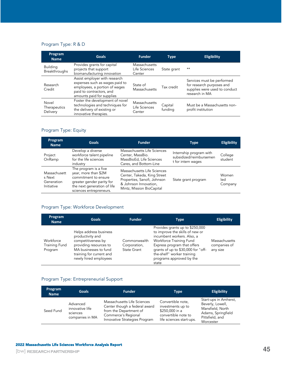## Program Type: R & D

| Program<br><b>Name</b>            | <b>Goals</b>                                                                                                                                              | <b>Funder</b>                            | <b>Type</b>        | <b>Eligibility</b>                                                                                         |
|-----------------------------------|-----------------------------------------------------------------------------------------------------------------------------------------------------------|------------------------------------------|--------------------|------------------------------------------------------------------------------------------------------------|
| <b>Building</b><br>Breakthroughs  | Provides grants for capital<br>projects that support<br>biomanufacturing innovation                                                                       | Massachusetts<br>Life Sciences<br>Center | State grant        | $**$                                                                                                       |
| Research<br>Credit                | Assist employer with research<br>expenses such as wages paid to<br>employees, a portion of wages<br>paid to contractors, and<br>amounts paid for supplies | State of<br>Massachusetts                | Tax credit         | Services must be performed<br>for research purposes and<br>supplies were used to conduct<br>research in MA |
| Novel<br>Therapeutics<br>Delivery | Foster the development of novel<br>technologies and techniques for<br>the delivery of existing or<br>innovative therapies.                                | Massachusetts<br>Life Sciences<br>Center | Capital<br>funding | Must be a Massachusetts non-<br>profit institution                                                         |

## Program Type: Equity

| Program<br><b>Name</b>                             | <b>Goals</b>                                                                                                                                                 | <b>Funder</b>                                                                                                                                   | <b>Type</b>                                                              | <b>Eligibility</b>      |
|----------------------------------------------------|--------------------------------------------------------------------------------------------------------------------------------------------------------------|-------------------------------------------------------------------------------------------------------------------------------------------------|--------------------------------------------------------------------------|-------------------------|
| Project<br>OnRamp                                  | Develop a diverse<br>workforce talent pipeline<br>for the life sciences<br>industry                                                                          | Massachusetts Life Sciences<br>Center, MassBio.<br>MassBioEd, Life Sciences<br>Cares, and Bottom-Line                                           | Internship program with<br>subsidized/reimbursemen<br>t for intern wages | College<br>student      |
| Massachusett<br>s Next<br>Generation<br>Initiative | The program is a five<br>year, more than \$2M<br>commitment to ensure<br>greater gender parity for<br>the next generation of life<br>sciences entrepreneurs. | Massachusetts Life Sciences<br>Center, Takeda, King Street<br>Properties, Sanofi, Johnson<br>& Johnson Innovation,<br>Mintz, Mission BioCapital | State grant program                                                      | Women<br>led<br>Company |

## Program Type: Workforce Development

| Program<br><b>Name</b>                       | <b>Goals</b>                                                                                                                                                             | <b>Funder</b>                                      | <b>Type</b>                                                                                                                                                                                                                                                         | <b>Eligibility</b>                        |
|----------------------------------------------|--------------------------------------------------------------------------------------------------------------------------------------------------------------------------|----------------------------------------------------|---------------------------------------------------------------------------------------------------------------------------------------------------------------------------------------------------------------------------------------------------------------------|-------------------------------------------|
| Workforce<br><b>Training Fund</b><br>Program | Helps address business<br>productivity and<br>competitiveness by<br>providing resources to<br>MA businesses to fund<br>training for current and<br>newly hired employees | Commonwealth<br>Corporation,<br><b>State Grant</b> | Provides grants up to \$250,000<br>to improve the skills of new or<br>incumbent workers. Also, a<br>Workforce Training Fund<br>Express program that offers<br>grants of up to \$30,000 for "off-<br>the-shelf" worker training<br>programs approved by the<br>state | Massachusetts<br>companies of<br>any size |

## Program Type: Entrepreneurial Support

| Program<br><b>Name</b> | <b>Goals</b>                                               | <b>Funder</b>                                                                                                                                  | Type                                                                                                        | <b>Eligibility</b>                                                                                                  |
|------------------------|------------------------------------------------------------|------------------------------------------------------------------------------------------------------------------------------------------------|-------------------------------------------------------------------------------------------------------------|---------------------------------------------------------------------------------------------------------------------|
| Seed Fund              | Advanced<br>innovative life<br>sciences<br>companies in MA | Massachusetts Life Sciences<br>Center though a federal award<br>from the Department of<br>Commerce's Regional<br>Innovative Strategies Program | Convertible note,<br>investments up to<br>\$250,000 in a<br>convertible note to<br>life sciences start-ups. | Start-ups in Amherst,<br>Beverly, Lowell,<br>Mansfield, North<br>Adams, Springfield<br>Pittsfield, and<br>Worcester |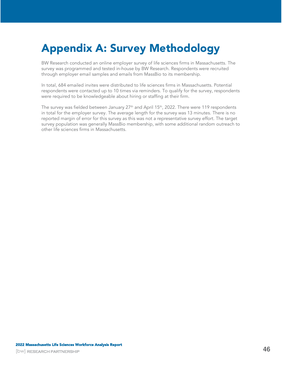# <span id="page-45-0"></span>Appendix A: Survey Methodology

BW Research conducted an online employer survey of life sciences firms in Massachusetts. The survey was programmed and tested in-house by BW Research. Respondents were recruited through employer email samples and emails from MassBio to its membership.

In total, 684 emailed invites were distributed to life sciences firms in Massachusetts. Potential respondents were contacted up to 10 times via reminders. To qualify for the survey, respondents were required to be knowledgeable about hiring or staffing at their firm.

The survey was fielded between January  $27<sup>th</sup>$  and April 15<sup>th</sup>, 2022. There were 119 respondents in total for the employer survey. The average length for the survey was 13 minutes. There is no reported margin of error for this survey as this was not a representative survey effort. The target survey population was generally MassBio membership, with some additional random outreach to other life sciences firms in Massachusetts.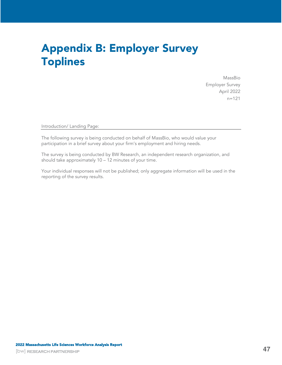## <span id="page-46-0"></span>Appendix B: Employer Survey Toplines

MassBio Employer Survey April 2022 n=121

Introduction/ Landing Page:

The following survey is being conducted on behalf of MassBio, who would value your participation in a brief survey about your firm's employment and hiring needs.

The survey is being conducted by BW Research, an independent research organization, and should take approximately 10 – 12 minutes of your time.

Your individual responses will not be published; only aggregate information will be used in the reporting of the survey results.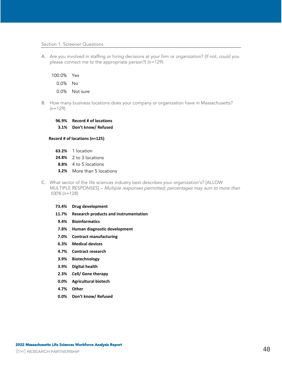#### Section 1. Screener Questions

A. Are you involved in staffing or hiring decisions at your firm or organization? (If not, could you please connect me to the appropriate person?) (n=129)

100.0% Yes 0.0% No 0.0% Not sure

B. How many business locations does your company or organization have in Massachusetts?  $(n=129)$ 

**96.9% Record # of locations 3.1% Don't know/ Refused**

#### **Record # of locations (n=125)**

- **63.2%** 1 location
- **24.8%** 2 to 3 locations
- **8.8%** 4 to 5 locations
- **3.2%** More than 5 locations
- C. What sector of the life sciences industry best describes your organization's? [ALLOW MULTIPLE RESPONSES] – Multiple responses permitted; percentages may sum to more than 100% (n=128)
	- **73.4% Drug development 11.7% Research products and instrumentation 9.4% Bioinformatics 7.8% Human diagnostic development**
		- **7.0% Contract manufacturing**
		- **6.3% Medical devices**
		- **4.7% Contract research**
		- **3.9% Biotechnology**
		- **3.9% Digital health**
		- **2.3% Cell/ Gene therapy**
		- **0.0% Agricultural biotech**
		- **4.7% Other**
		- **0.0% Don't know/ Refused**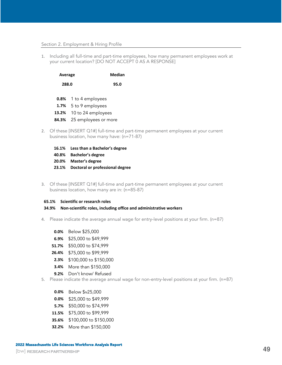#### Section 2. Employment & Hiring Profile

<span id="page-48-0"></span>1. Including all full-time and part-time employees, how many permanent employees work at your current location? [DO NOT ACCEPT 0 AS A RESPONSE]

| Average |                       | Median |
|---------|-----------------------|--------|
| 288.0   |                       | 95.0   |
|         | 0.8% 1 to 4 employees |        |
|         | 1.7% 5 to 9 employees |        |

- **13.2%** 10 to 24 employees
- **84.3%** 25 employees or more
- 2. Of these [INSERT Q1#] full-time and part-time permanent employees at your current business location, how many have: (n=71-87)
	- **16.1% Less than a Bachelor's degree**
	- **40.8% Bachelor's degree**
	- **20.0% Master's degree**
	- **23.1% Doctoral or professional degree**
- 3. Of these [INSERT Q1#] full-time and part-time permanent employees at your current business location, how many are in: (n=85-87)

#### **65.1% Scientific or research roles**

#### **34.9% Non-scientific roles, including office and administrative workers**

- 4. Please indicate the average annual wage for entry-level positions at your firm. (n=87)
	- **0.0%** Below \$25,000
	- **6.9%** \$25,000 to \$49,999
	- **51.7%** \$50,000 to \$74,999
	- **26.4%** \$75,000 to \$99,999
	- **2.3%** \$100,000 to \$150,000
	- **3.4%** More than \$150,000
	- **9.2%** Don't know/ Refused
- 5. Please indicate the average annual wage for non-entry-level positions at your firm. (n=87)
	- **0.0%** Below \$v25,000
	- **0.0%** \$25,000 to \$49,999
	- **5.7%** \$50,000 to \$74,999
	- **11.5%** \$75,000 to \$99,999
	- **35.6%** \$100,000 to \$150,000
	- **32.2%** More than \$150,000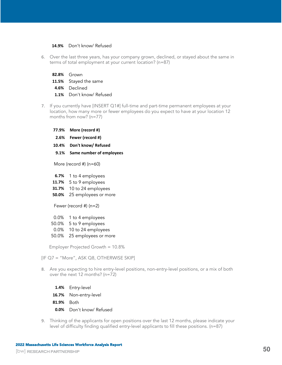### **14.9%** Don't know/ Refused

- 6. Over the last three years, has your company grown, declined, or stayed about the same in terms of total employment at your current location? (n=87)
	- **82.8%** Grown
	- **11.5%** Stayed the same
	- **4.6%** Declined
	- **1.1%** Don't know/ Refused
- <span id="page-49-0"></span>7. If you currently have [INSERT [Q1#](#page-48-0)] full-time and part-time permanent employees at your location, how many more or fewer employees do you expect to have at your location 12 months from now? (n=77)
	- **77.9% More (record #) 2.6% Fewer (record #) 10.4% Don't know/ Refused 9.1% Same number of employees**

More (record #) (n=60)

- **6.7%** 1 to 4 employees
- **11.7%** 5 to 9 employees
- **31.7%** 10 to 24 employees
- **50.0%** 25 employees or more

Fewer (record #) (n=2)

- 0.0% 1 to 4 employees
- 50.0% 5 to 9 employees
- 0.0% 10 to 24 employees
- 50.0% 25 employees or more

Employer Projected Growth = 10.8%

[IF [Q7](#page-49-0) = "More", ASK Q[8,](#page-49-1) OTHERWISE SKIP]

- <span id="page-49-1"></span>8. Are you expecting to hire entry-level positions, non-entry-level positions, or a mix of both over the next 12 months? (n=72)
	- **1.4%** Entry-level
	- **16.7%** Non-entry-level
	- **81.9%** Both
	- **0.0%** Don't know/ Refused
- <span id="page-49-2"></span>9. Thinking of the applicants for open positions over the last 12 months, please indicate your level of difficulty finding qualified entry-level applicants to fill these positions. (n=87)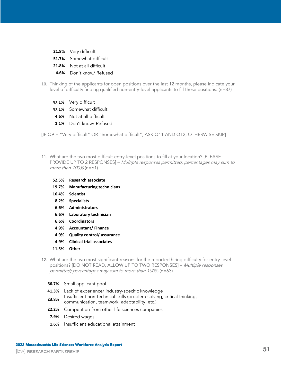- **21.8%** Very difficult
- **51.7%** Somewhat difficult
- **21.8%** Not at all difficult
- **4.6%** Don't know/ Refused
- <span id="page-50-2"></span>10. Thinking of the applicants for open positions over the last 12 months, please indicate your level of difficulty finding qualified non-entry-level applicants to fill these positions. (n=87)
	- **47.1%** Very difficult
	- **47.1%** Somewhat difficult
	- **4.6%** Not at all difficult
	- **1.1%** Don't know/ Refused

[IF [Q9](#page-49-2) = "Very difficult" OR "Somewhat difficult", ASK Q[11](#page-50-0) AND [Q12,](#page-50-1) OTHERWISE SKIP]

- <span id="page-50-0"></span>11. What are the two most difficult entry-level positions to fill at your location? [PLEASE PROVIDE UP TO 2 RESPONSES] – Multiple responses permitted; percentages may sum to more than 100% (n=61)
	- **52.5% Research associate**
	- **19.7% Manufacturing technicians**
	- **16.4% Scientist**
	- **8.2% Specialists**
	- **6.6% Administrators**
	- **6.6% Laboratory technician**
	- **6.6% Coordinators**
	- **4.9% Accountant/ Finance**
	- **4.9% Quality control/ assurance**
	- **4.9% Clinical trial associates**
	- **11.5% Other**
- <span id="page-50-1"></span>12. What are the two most significant reasons for the reported hiring difficulty for entry-level positions? [DO NOT READ, ALLOW UP TO TWO RESPONSES] – Multiple responses permitted; percentages may sum to more than 100% (n=63)
	- **66.7%** Small applicant pool
	- **41.3%** Lack of experience/ industry-specific knowledge
	- **23.8%** Insufficient non-technical skills (problem-solving, critical thinking,
	- communication, teamwork, adaptability, etc.)
	- **22.2%** Competition from other life sciences companies
	- **7.9%** Desired wages
	- **1.6%** Insufficient educational attainment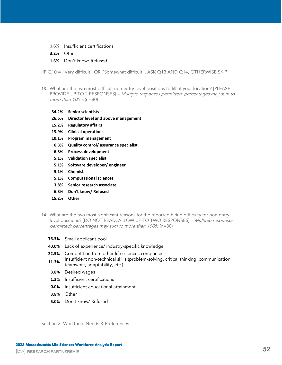- **1.6%** Insufficient certifications
- **3.2%** Other
- **1.6%** Don't know/ Refused

[IF [Q10](#page-50-2) = "Very difficult" OR "Somewhat difficult", ASK Q[13](#page-51-0) AND [Q14,](#page-51-1) OTHERWISE SKIP]

- <span id="page-51-0"></span>13. What are the two most difficult non-entry-level positions to fill at your location? [PLEASE PROVIDE UP TO 2 RESPONSES] – Multiple responses permitted; percentages may sum to more than 100% (n=80)
	- **34.2% Senior scientists**
	- **26.6% Director level and above management**
	- **15.2% Regulatory affairs**
	- **13.9% Clinical operations**
	- **10.1% Program management**
	- **6.3% Quality control/ assurance specialist**
	- **6.3% Process development**
	- **5.1% Validation specialist**
	- **5.1% Software developer/ engineer**
	- **5.1% Chemist**
	- **5.1% Computational sciences**
	- **3.8% Senior research associate**
	- **6.3% Don't know/ Refused**
	- **15.2% Other**
- <span id="page-51-1"></span>14. What are the two most significant reasons for the reported hiring difficulty for non-entrylevel positions? [DO NOT READ, ALLOW UP TO TWO RESPONSES] - Multiple responses permitted; percentages may sum to more than 100% (n=80)
	- **76.3%** Small applicant pool
	- **40.0%** Lack of experience/ industry-specific knowledge
	- **22.5%** Competition from other life sciences companies
	- 11.3% Insufficient non-technical skills (problem-solving, critical thinking, communication, teamwork, adaptability, etc.)
	- **3.8%** Desired wages
	- **1.3%** Insufficient certifications
	- **0.0%** Insufficient educational attainment
	- **3.8%** Other
	- **5.0%** Don't know/ Refused

Section 3. Workforce Needs & Preferences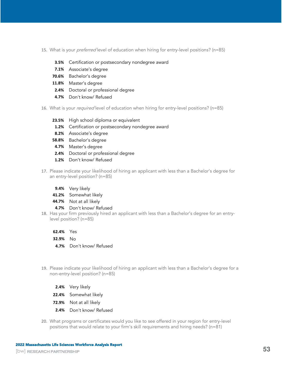- 15. What is your *preferred* level of education when hiring for entry-level positions? (n=85)
	- **3.5%** Certification or postsecondary nondegree award
	- **7.1%** Associate's degree
	- **70.6%** Bachelor's degree
	- **11.8%** Master's degree
	- **2.4%** Doctoral or professional degree
	- **4.7%** Don't know/ Refused
- 16. What is your *required* level of education when hiring for entry-level positions? (n=85)
	- **23.5%** High school diploma or equivalent
	- **1.2%** Certification or postsecondary nondegree award
	- **8.2%** Associate's degree
	- **58.8%** Bachelor's degree
	- **4.7%** Master's degree
	- **2.4%** Doctoral or professional degree
	- **1.2%** Don't know/ Refused
- 17. Please indicate your likelihood of hiring an applicant with less than a Bachelor's degree for an entry-level position? (n=85)
	- **9.4%** Very likely
	- **41.2%** Somewhat likely
	- **44.7%** Not at all likely
	- **4.7%** Don't know/ Refused
- 18. Has your firm previously hired an applicant with less than a Bachelor's degree for an entrylevel position? (n=85)
	- **62.4%** Yes
	- **32.9%** No
	- **4.7%** Don't know/ Refused
- 19. Please indicate your likelihood of hiring an applicant with less than a Bachelor's degree for a non-entry-level position? (n=85)
	- **2.4%** Very likely
	- **22.4%** Somewhat likely
	- **72.9%** Not at all likely
	- **2.4%** Don't know/ Refused
- 20. What programs or certificates would you like to see offered in your region for entry-level positions that would relate to your firm's skill requirements and hiring needs? (n=81)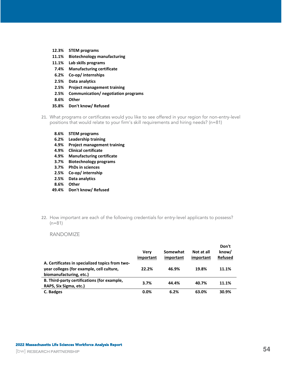- **12.3% STEM programs 11.1% Biotechnology manufacturing 11.1% Lab skills programs 7.4% Manufacturing certificate 6.2% Co-op/ internships 2.5% Data analytics 2.5% Project management training 2.5% Communication/ negotiation programs 8.6% Other 35.8% Don't know/ Refused**
- 21. What programs or certificates would you like to see offered in your region for non-entry-level positions that would relate to your firm's skill requirements and hiring needs? (n=81)
	- **8.6% STEM programs**
	- **6.2% Leadership training**
	- **4.9% Project management training**
	- **4.9% Clinical certificate**
	- **4.9% Manufacturing certificate**
	- **3.7% Biotechnology programs**
	- **3.7% PhDs in sciences**
	- **2.5% Co-op/ internship**
	- **2.5% Data analytics**
	- **8.6% Other**
	- **49.4% Don't know/ Refused**
- 22. How important are each of the following credentials for entry-level applicants to possess? (n=81)

### RANDOMIZE

|                                                                                                                         | Verv<br>important | Somewhat<br>important | Not at all<br>important | Don't<br>know/<br><b>Refused</b> |
|-------------------------------------------------------------------------------------------------------------------------|-------------------|-----------------------|-------------------------|----------------------------------|
| A. Certificates in specialized topics from two-<br>year colleges (for example, cell culture,<br>biomanufacturing, etc.) | 22.2%             | 46.9%                 | 19.8%                   | 11.1%                            |
| B. Third-party certifications (for example,<br>RAPS, Six Sigma, etc.)                                                   | 3.7%              | 44.4%                 | 40.7%                   | 11.1%                            |
| C. Badges                                                                                                               | 0.0%              | 6.2%                  | 63.0%                   | 30.9%                            |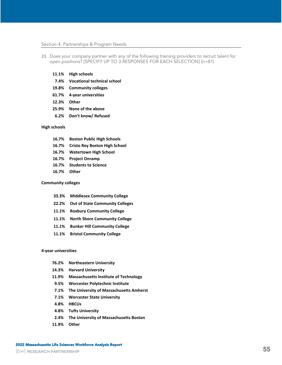#### Section 4. Partnerships & Program Needs

- 23. Does your company partner with any of the following training providers to recruit talent for open positions? [SPECIFY UP TO 3 RESPONSES FOR EACH SELECTION] (n=81)
	- **11.1% High schools**
	- **7.4% Vocational technical school**
	- **19.8% Community colleges**
	- **61.7% 4-year universities**
	- **12.3% Other**
	- **25.9% None of the above**
	- **6.2% Don't know/ Refused**

#### **High schools**

- **16.7% Boston Public High Schools**
- **16.7% Cristo Rey Boston High School**
- **16.7% Watertown High School**
- **16.7% Project Onramp**
- **16.7% Students to Science**
- **16.7% Other**

#### **Community colleges**

- **33.3% Middlesex Community College**
- **22.2% Out of State Community Colleges**
- **11.1% Roxbury Community College**
- **11.1% North Shore Community College**
- **11.1% Bunker Hill Community College**
- **11.1% Bristol Community College**

#### **4-year universities**

- **76.2% Northeastern University**
- **14.3% Harvard University**
- **11.9% Massachusetts Institute of Technology**
- **9.5% Worcester Polytechnic Institute**
- **7.1% The University of Massachusetts Amherst**
- **7.1% Worcester State University**
- **4.8% HBCUs**
- **4.8% Tufts University**
- **2.4% The University of Massachusetts Boston**
- **11.9% Other**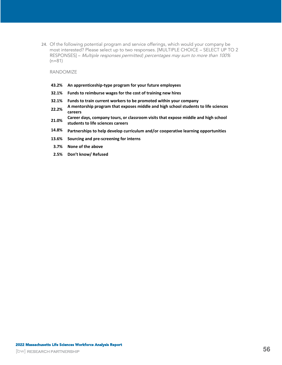24. Of the following potential program and service offerings, which would your company be most interested? Please select up to two responses. [MULTIPLE CHOICE – SELECT UP TO 2 RESPONSES] – Multiple responses permitted; percentages may sum to more than 100% (n=81)

#### RANDOMIZE

- **43.2% An apprenticeship-type program for your future employees**
- **32.1% Funds to reimburse wages for the cost of training new hires**
- **32.1% Funds to train current workers to be promoted within your company**
- **22.2% A mentorship program that exposes middle and high school students to life sciences careers**
- **21.0% Career days, company tours, or classroom visits that expose middle and high school students to life sciences careers**
- **14.8% Partnerships to help develop curriculum and/or cooperative learning opportunities**
- **13.6% Sourcing and pre-screening for interns**
- **3.7% None of the above**
- **2.5% Don't know/ Refused**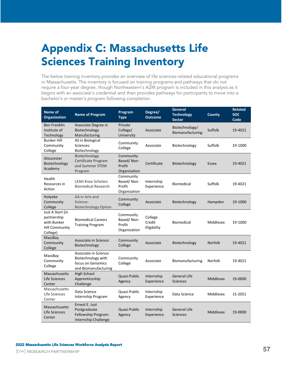# <span id="page-56-0"></span>Appendix C: Massachusetts Life Sciences Training Inventory

The below training inventory provides an overview of life sciences-related educational programs in Massachusetts. The inventory is focused on training programs and pathways that do not require a four-year degree, though Northeastern's A2M program is included in this analysis as it begins with an associate's credential and then provides pathways for participants to move into a bachelor's or master's program following completion.

| Name of<br><b>Organization</b>                                                      | <b>Name of Program</b>                                                                   | Program<br><b>Type</b>                            | Degree/<br><b>Outcome</b>        | General<br><b>Technology</b><br><b>Sector</b> | <b>County</b>    | <b>Related</b><br><b>SOC</b><br>Code |
|-------------------------------------------------------------------------------------|------------------------------------------------------------------------------------------|---------------------------------------------------|----------------------------------|-----------------------------------------------|------------------|--------------------------------------|
| <b>Ben Franklin</b><br>Institute of<br>Technology                                   | Associate Degree in<br>Biotechnology<br>Manufacturing                                    | Private<br>College/<br>University                 | Associate                        | Biotechnology/<br>Biomanufacturing            | Suffolk          | 19-4021                              |
| <b>Bunker Hill</b><br>Community<br>College                                          | AS in Biological<br>Sciences:<br>Biotechnology                                           | Community<br>College                              | Associate                        | Biotechnology                                 | Suffolk          | 19-1000                              |
| Gloucester<br>Biotechnology<br>Academy                                              | Biotechnology<br>Certificate Program<br>and Summer STEM<br>Program                       | Community<br>Based/Non-<br>Profit<br>Organization | Certificate                      | Biotechnology                                 | Essex            | 19-4021                              |
| Health<br>Resources in<br>Action                                                    | <b>LEAH Knox Scholars</b><br><b>Biomedical Research</b>                                  | Community<br>Based/Non-<br>Profit<br>Organization | Internship<br>Experience         | <b>Biomedical</b>                             | Suffolk          | 19-4021                              |
| Holyoke<br>Community<br>College                                                     | AA in Arts and<br>Science:<br><b>Biotechnology Option</b>                                | Community<br>College                              | Associate                        | Biotechnology                                 | Hampden          | 19-1000                              |
| Just A Start (in<br>partnership<br>with Bunker<br><b>Hill Community</b><br>College) | <b>Biomedical Careers</b><br><b>Training Program</b>                                     | Community<br>Based/Non-<br>Profit<br>Organization | College<br>Credit<br>Eligibility | <b>Biomedical</b>                             | Middlesex        | 19-1000                              |
| MassBay<br>Community<br>College                                                     | Associate in Science:<br>Biotechnology                                                   | Community<br>College                              | Associate                        | Biotechnology                                 | <b>Norfolk</b>   | 19-4021                              |
| MassBay<br>Community<br>College                                                     | Associate in Science:<br>Biotechnology with<br>focus on Genomics<br>and Biomanufacturing | Community<br>College                              | Associate                        | Biomanufacturing                              | <b>Norfolk</b>   | 19-4021                              |
| Massachusetts<br>Life Sciences<br>Center                                            | <b>High School</b><br>Apprenticeship<br>Challenge                                        | Quasi-Public<br>Agency                            | Internship<br>Experience         | <b>General Life</b><br><b>Sciences</b>        | <b>Middlesex</b> | 19-0000                              |
| Massachusetts<br>Life Sciences<br>Center                                            | Data Science<br>Internship Program                                                       | Quasi-Public<br>Agency                            | Internship<br>Experience         | Data Science                                  | Middlesex        | 15-2051                              |
| Massachusetts<br>Life Sciences<br>Center                                            | Ernest E. Just<br>Postgraduate<br>Fellowship Program:<br><b>Internship Challenge</b>     | Quasi-Public<br>Agency                            | Internship<br>Experience         | <b>General Life</b><br><b>Sciences</b>        | <b>Middlesex</b> | 19-0000                              |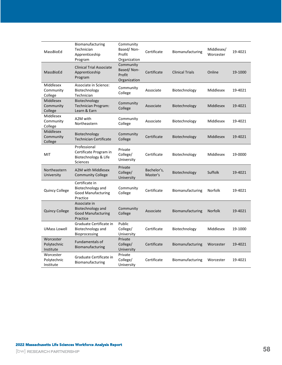| MassBioEd                                | Biomanufacturing<br>Technician<br>Apprenticeship<br>Program                       | Community<br>Based/Non-<br>Profit<br>Organization | Certificate             | Biomanufacturing       | Middlesex/<br>Worcester | 19-4021 |
|------------------------------------------|-----------------------------------------------------------------------------------|---------------------------------------------------|-------------------------|------------------------|-------------------------|---------|
| MassBioEd                                | <b>Clinical Trial Associate</b><br>Apprenticeship<br>Program                      | Community<br>Based/Non-<br>Profit<br>Organization | Certificate             | <b>Clinical Trials</b> | Online                  | 19-1000 |
| Middlesex<br>Community<br>College        | Associate in Science:<br>Biotechnology<br>Technician                              | Community<br>College                              | Associate               | Biotechnology          | Middlesex               | 19-4021 |
| <b>Middlesex</b><br>Community<br>College | Biotechnology<br>Technician Program:<br>Learn & Earn                              | Community<br>College                              | Associate               | Biotechnology          | Middlesex               | 19-4021 |
| Middlesex<br>Community<br>College        | A2M with<br>Northeastern                                                          | Community<br>College                              | Associate               | Biotechnology          | Middlesex               | 19-4021 |
| Middlesex<br>Community<br>College        | Biotechnology<br><b>Technician Certificate</b>                                    | Community<br>College                              | Certificate             | Biotechnology          | Middlesex               | 19-4021 |
| MIT                                      | Professional<br>Certificate Program in<br>Biotechnology & Life<br><b>Sciences</b> | Private<br>College/<br>University                 | Certificate             | Biotechnology          | Middlesex               | 19-0000 |
| Northeastern<br>University               | A2M with Middlesex<br><b>Community College</b>                                    | Private<br>College/<br>University                 | Bachelor's,<br>Master's | Biotechnology          | Suffolk                 | 19-4021 |
| <b>Quincy College</b>                    | Certificate in<br>Biotechnology and<br><b>Good Manufacturing</b><br>Practice      | Community<br>College                              | Certificate             | Biomanufacturing       | Norfolk                 | 19-4021 |
| <b>Quincy College</b>                    | Associate in<br>Biotechnology and<br><b>Good Manufacturing</b><br>Practice        | Community<br>College                              | Associate               | Biomanufacturing       | <b>Norfolk</b>          | 19-4021 |
| <b>UMass Lowell</b>                      | Graduate Certificate in<br>Biotechnology and<br><b>Bioprocessing</b>              | Public<br>College/<br>University                  | Certificate             | Biotechnology          | Middlesex               | 19-1000 |
| Worcester<br>Polytechnic<br>Institute    | Fundamentals of<br>Biomanufacturing                                               | Private<br>College/<br>University                 | Certificate             | Biomanufacturing       | Worcester               | 19-4021 |
| Worcester<br>Polytechnic<br>Institute    | Graduate Certificate in<br>Biomanufacturing                                       | Private<br>College/<br>University                 | Certificate             | Biomanufacturing       | Worcester               | 19-4021 |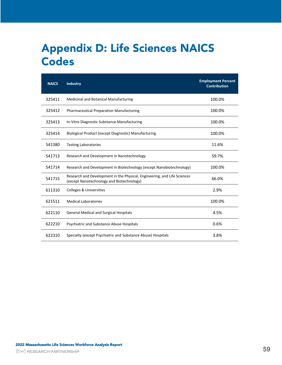# <span id="page-58-0"></span>Appendix D: Life Sciences NAICS **Codes**

| <b>NAICS</b> | <b>Industry</b>                                                                                                       | <b>Employment Percent</b><br><b>Contribution</b> |
|--------------|-----------------------------------------------------------------------------------------------------------------------|--------------------------------------------------|
| 325411       | Medicinal and Botanical Manufacturing                                                                                 | 100.0%                                           |
| 325412       | <b>Pharmaceutical Preparation Manufacturing</b>                                                                       | 100.0%                                           |
| 325413       | In-Vitro Diagnostic Substance Manufacturing                                                                           | 100.0%                                           |
| 325414       | Biological Product (except Diagnostic) Manufacturing                                                                  | 100.0%                                           |
| 541380       | <b>Testing Laboratories</b>                                                                                           | 11.6%                                            |
| 541713       | Research and Development in Nanotechnology                                                                            | 59.7%                                            |
| 541714       | Research and Development in Biotechnology (except Nanobiotechnology)                                                  | 100.0%                                           |
| 541715       | Research and Development in the Physical, Engineering, and Life Sciences<br>(except Nanotechnology and Biotechnology) | 66.0%                                            |
| 611310       | <b>Colleges &amp; Universities</b>                                                                                    | 2.9%                                             |
| 621511       | <b>Medical Laboratories</b>                                                                                           | 100.0%                                           |
| 622110       | <b>General Medical and Surgical Hospitals</b>                                                                         | 4.5%                                             |
| 622210       | Psychiatric and Substance Abuse Hospitals                                                                             | 0.6%                                             |
| 622310       | Specialty (except Psychiatric and Substance Abuse) Hospitals                                                          | 3.8%                                             |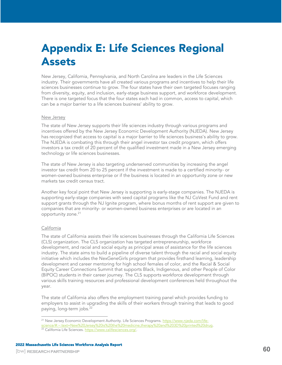# <span id="page-59-0"></span>Appendix E: Life Sciences Regional Assets

New Jersey, California, Pennsylvania, and North Carolina are leaders in the Life Sciences industry. Their governments have all created various programs and incentives to help their life sciences businesses continue to grow. The four states have their own targeted focuses ranging from diversity, equity, and inclusion, early-stage business support, and workforce development. There is one targeted focus that the four states each had in common, access to capital, which can be a major barrier to a life sciences business' ability to grow.

### New Jersey

The state of New Jersey supports their life sciences industry through various programs and incentives offered by the New Jersey Economic Development Authority (NJEDA). New Jersey has recognized that access to capital is a major barrier to life sciences business's ability to grow. The NJEDA is combating this through their angel investor tax credit program, which offers investors a tax credit of 20 percent of the qualified investment made in a New Jersey emerging technology or life sciences businesses.

The state of New Jersey is also targeting underserved communities by increasing the angel investor tax credit from 20 to 25 percent if the investment is made to a certified minority- or women-owned business enterprise or if the business is located in an opportunity zone or new markets tax credit census tract.

Another key focal point that New Jersey is supporting is early-stage companies. The NJEDA is supporting early-stage companies with seed capital programs like the NJ CoVest Fund and rent support grants through the NJ Ignite program, where bonus months of rent support are given to companies that are minority- or women-owned business enterprises or are located in an opportunity zone.<sup>21</sup>

### California

The state of California assists their life sciences businesses through the California Life Sciences (CLS) organization. The CLS organization has targeted entrepreneurship, workforce development, and racial and social equity as principal areas of assistance for the life sciences industry. The state aims to build a pipeline of diverse talent through the racial and social equity initiative which includes the NexGeneGirls program that provides firsthand learning, leadership development and career mentoring for high school females of color, and the Racial & Social Equity Career Connections Summit that supports Black, Indigenous, and other People of Color (BIPOC) students in their career journey. The CLS supports workforce development through various skills training resources and professional development conferences held throughout the year.

The state of California also offers the employment training panel which provides funding to employers to assist in upgrading the skills of their workers through training that leads to good paying, long-term jobs.<sup>22</sup>

<sup>&</sup>lt;sup>21</sup> New Jersey Economic Development Authority. Life Sciences Programs. [https://www.njeda.com/life](https://www.njeda.com/life-science/#:~:text=New%20Jersey%20is%20the%20medicine,therapy%20and%203D%20printed%20drug)[science/#:~:text=New%20Jersey%20is%20the%20medicine,therapy%20and%203D%20printed%20drug.](https://www.njeda.com/life-science/#:~:text=New%20Jersey%20is%20the%20medicine,therapy%20and%203D%20printed%20drug) 22 California Life Sciences. [https://www.califesciences.org/.](https://www.califesciences.org/)